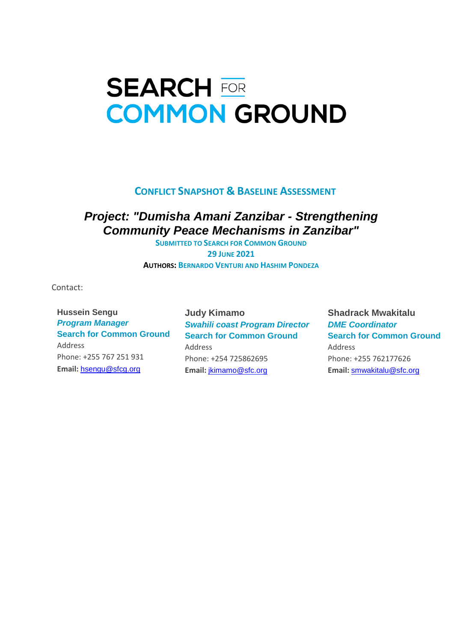# **SEARCH FOR COMMON GROUND**

#### **CONFLICT SNAPSHOT & BASELINE ASSESSMENT**

#### *Project: "Dumisha Amani Zanzibar - Strengthening Community Peace Mechanisms in Zanzibar"*

**SUBMITTED TO SEARCH FOR COMMON GROUND 29 JUNE 2021 AUTHORS: BERNARDO VENTURI AND HASHIM PONDEZA**

Contact:

 **Hussein Sengu** *Program Manager* **Search for Common Ground** Address Phone: +255 767 251 931 **Email:** hsengu@sfcg.org

**Judy Kimamo** *Swahili coast Program Director* **Search for Common Ground** Address Phone: +254 725862695 **Email:** jkimamo@sfc.org

**Shadrack Mwakitalu** *DME Coordinator* **Search for Common Ground** Address Phone: +255 762177626 **Email:** smwakitalu@sfc.org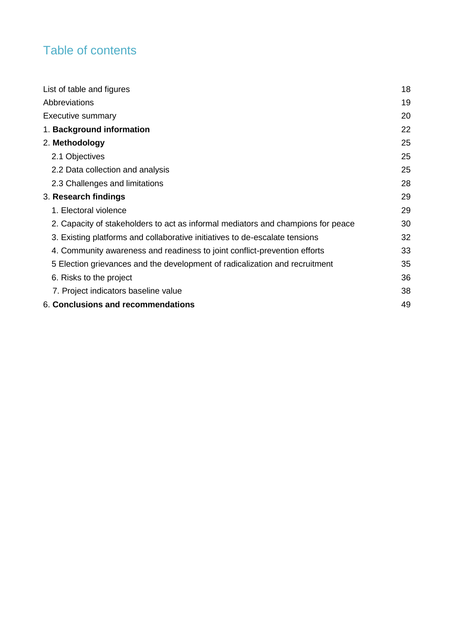# Table of contents

| List of table and figures                                                        | 18 |
|----------------------------------------------------------------------------------|----|
| Abbreviations                                                                    | 19 |
| <b>Executive summary</b>                                                         | 20 |
| 1. Background information                                                        | 22 |
| 2. Methodology                                                                   | 25 |
| 2.1 Objectives                                                                   | 25 |
| 2.2 Data collection and analysis                                                 | 25 |
| 2.3 Challenges and limitations                                                   | 28 |
| 3. Research findings                                                             | 29 |
| 1. Electoral violence                                                            | 29 |
| 2. Capacity of stakeholders to act as informal mediators and champions for peace | 30 |
| 3. Existing platforms and collaborative initiatives to de-escalate tensions      | 32 |
| 4. Community awareness and readiness to joint conflict-prevention efforts        | 33 |
| 5 Election grievances and the development of radicalization and recruitment      | 35 |
| 6. Risks to the project                                                          | 36 |
| 7. Project indicators baseline value                                             | 38 |
| 6. Conclusions and recommendations                                               | 49 |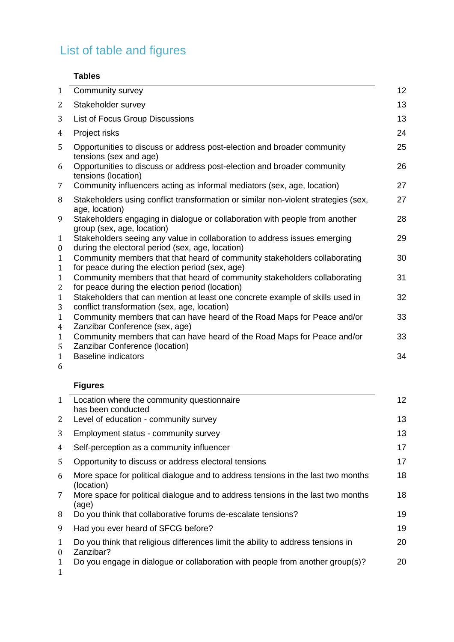# <span id="page-2-0"></span>List of table and figures

#### **Tables**

| $\mathbf{1}$                     | Community survey                                                                                                              | 12 |
|----------------------------------|-------------------------------------------------------------------------------------------------------------------------------|----|
| 2                                | Stakeholder survey                                                                                                            | 13 |
| 3                                | List of Focus Group Discussions                                                                                               | 13 |
| 4                                | Project risks                                                                                                                 | 24 |
| 5                                | Opportunities to discuss or address post-election and broader community<br>tensions (sex and age)                             | 25 |
| 6                                | Opportunities to discuss or address post-election and broader community<br>tensions (location)                                | 26 |
| 7                                | Community influencers acting as informal mediators (sex, age, location)                                                       | 27 |
| 8                                | Stakeholders using conflict transformation or similar non-violent strategies (sex,<br>age, location)                          | 27 |
| 9                                | Stakeholders engaging in dialogue or collaboration with people from another<br>group (sex, age, location)                     | 28 |
| $\mathbf{1}$<br>$\boldsymbol{0}$ | Stakeholders seeing any value in collaboration to address issues emerging<br>during the electoral period (sex, age, location) | 29 |
| $\mathbf{1}$<br>$\mathbf{1}$     | Community members that that heard of community stakeholders collaborating<br>for peace during the election period (sex, age)  | 30 |
| $\mathbf{1}$<br>2                | Community members that that heard of community stakeholders collaborating<br>for peace during the election period (location)  | 31 |
| $\mathbf{1}$<br>3                | Stakeholders that can mention at least one concrete example of skills used in<br>conflict transformation (sex, age, location) | 32 |
| $\mathbf{1}$<br>4                | Community members that can have heard of the Road Maps for Peace and/or<br>Zanzibar Conference (sex, age)                     | 33 |
| $\mathbf{1}$<br>5                | Community members that can have heard of the Road Maps for Peace and/or<br>Zanzibar Conference (location)                     | 33 |
| $\mathbf{1}$<br>6                | <b>Baseline indicators</b>                                                                                                    | 34 |

#### **Figures**

| $\mathbf{1}$  | Location where the community questionnaire                                                     | 12 |
|---------------|------------------------------------------------------------------------------------------------|----|
|               | has been conducted                                                                             |    |
| 2             | Level of education - community survey                                                          | 13 |
| 3             | Employment status - community survey                                                           | 13 |
| 4             | Self-perception as a community influencer                                                      | 17 |
| 5             | Opportunity to discuss or address electoral tensions                                           | 17 |
| 6             | More space for political dialogue and to address tensions in the last two months<br>(location) | 18 |
| 7             | More space for political dialogue and to address tensions in the last two months<br>(age)      | 18 |
| 8             | Do you think that collaborative forums de-escalate tensions?                                   | 19 |
| 9             | Had you ever heard of SFCG before?                                                             | 19 |
| 1<br>$\theta$ | Do you think that religious differences limit the ability to address tensions in<br>Zanzibar?  | 20 |
| 1<br>1        | Do you engage in dialogue or collaboration with people from another group(s)?                  | 20 |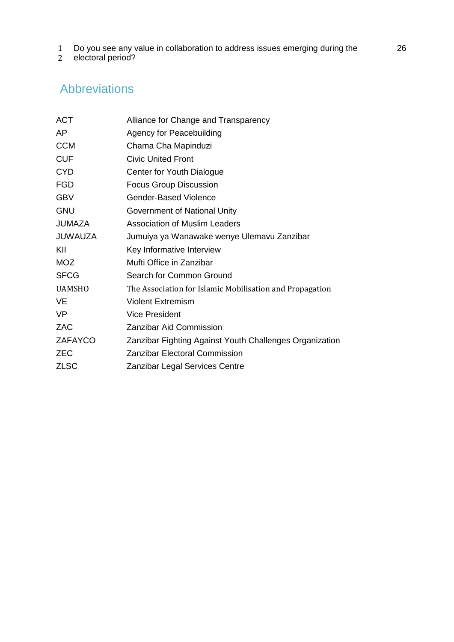- 1 Do you see any value in collaboration to address issues emerging during the
- $\overline{2}$ electoral period?

# <span id="page-3-0"></span>Abbreviations

| <b>ACT</b>     | Alliance for Change and Transparency                     |
|----------------|----------------------------------------------------------|
| AΡ             | <b>Agency for Peacebuilding</b>                          |
| <b>CCM</b>     | Chama Cha Mapinduzi                                      |
| <b>CUF</b>     | <b>Civic United Front</b>                                |
| <b>CYD</b>     | Center for Youth Dialogue                                |
| <b>FGD</b>     | <b>Focus Group Discussion</b>                            |
| <b>GBV</b>     | Gender-Based Violence                                    |
| <b>GNU</b>     | Government of National Unity                             |
| <b>JUMAZA</b>  | <b>Association of Muslim Leaders</b>                     |
| JUWAUZA        | Jumuiya ya Wanawake wenye Ulemavu Zanzibar               |
| KII            | Key Informative Interview                                |
| <b>MOZ</b>     | Mufti Office in Zanzibar                                 |
| <b>SFCG</b>    | Search for Common Ground                                 |
| <b>UAMSHO</b>  | The Association for Islamic Mobilisation and Propagation |
| VE             | <b>Violent Extremism</b>                                 |
| VP             | <b>Vice President</b>                                    |
| ZAC            | Zanzibar Aid Commission                                  |
| <b>ZAFAYCO</b> | Zanzibar Fighting Against Youth Challenges Organization  |
| <b>ZEC</b>     | <b>Zanzibar Electoral Commission</b>                     |
| <b>ZLSC</b>    | <b>Zanzibar Legal Services Centre</b>                    |
|                |                                                          |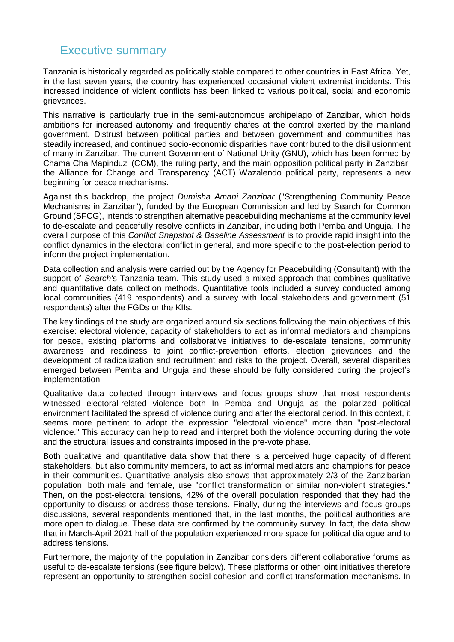#### <span id="page-4-0"></span>Executive summary

Tanzania is historically regarded as politically stable compared to other countries in East Africa. Yet, in the last seven years, the country has experienced occasional violent extremist incidents. This increased incidence of violent conflicts has been linked to various political, social and economic grievances.

This narrative is particularly true in the semi-autonomous archipelago of Zanzibar, which holds ambitions for increased autonomy and frequently chafes at the control exerted by the mainland government. Distrust between political parties and between government and communities has steadily increased, and continued socio-economic disparities have contributed to the disillusionment of many in Zanzibar. The current Government of National Unity (GNU), which has been formed by Chama Cha Mapinduzi (CCM), the ruling party, and the main opposition political party in Zanzibar, the Alliance for Change and Transparency (ACT) Wazalendo political party, represents a new beginning for peace mechanisms.

Against this backdrop, the project *Dumisha Amani Zanzibar* ("Strengthening Community Peace Mechanisms in Zanzibar"), funded by the European Commission and led by Search for Common Ground (SFCG), intends to strengthen alternative peacebuilding mechanisms at the community level to de-escalate and peacefully resolve conflicts in Zanzibar, including both Pemba and Unguja. The overall purpose of this *Conflict Snapshot & Baseline Assessment* is to provide rapid insight into the conflict dynamics in the electoral conflict in general, and more specific to the post-election period to inform the project implementation.

Data collection and analysis were carried out by the Agency for Peacebuilding (Consultant) with the support of *Search'*s Tanzania team. This study used a mixed approach that combines qualitative and quantitative data collection methods. Quantitative tools included a survey conducted among local communities (419 respondents) and a survey with local stakeholders and government (51 respondents) after the FGDs or the KIIs.

The key findings of the study are organized around six sections following the main objectives of this exercise: electoral violence, capacity of stakeholders to act as informal mediators and champions for peace, existing platforms and collaborative initiatives to de-escalate tensions, community awareness and readiness to joint conflict-prevention efforts, election grievances and the development of radicalization and recruitment and risks to the project. Overall, several disparities emerged between Pemba and Unguja and these should be fully considered during the project's implementation

Qualitative data collected through interviews and focus groups show that most respondents witnessed electoral-related violence both In Pemba and Unguja as the polarized political environment facilitated the spread of violence during and after the electoral period. In this context, it seems more pertinent to adopt the expression "electoral violence" more than "post-electoral violence." This accuracy can help to read and interpret both the violence occurring during the vote and the structural issues and constraints imposed in the pre-vote phase.

Both qualitative and quantitative data show that there is a perceived huge capacity of different stakeholders, but also community members, to act as informal mediators and champions for peace in their communities. Quantitative analysis also shows that approximately 2/3 of the Zanzibarian population, both male and female, use "conflict transformation or similar non-violent strategies." Then, on the post-electoral tensions, 42% of the overall population responded that they had the opportunity to discuss or address those tensions. Finally, during the interviews and focus groups discussions, several respondents mentioned that, in the last months, the political authorities are more open to dialogue. These data are confirmed by the community survey. In fact, the data show that in March-April 2021 half of the population experienced more space for political dialogue and to address tensions.

Furthermore, the majority of the population in Zanzibar considers different collaborative forums as useful to de-escalate tensions (see figure below). These platforms or other joint initiatives therefore represent an opportunity to strengthen social cohesion and conflict transformation mechanisms. In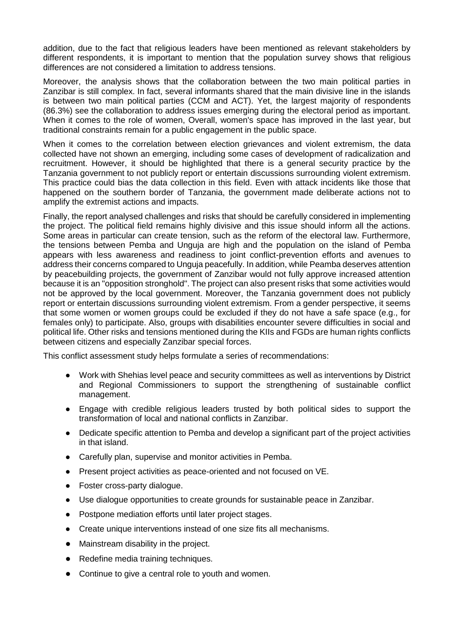addition, due to the fact that religious leaders have been mentioned as relevant stakeholders by different respondents, it is important to mention that the population survey shows that religious differences are not considered a limitation to address tensions.

Moreover, the analysis shows that the collaboration between the two main political parties in Zanzibar is still complex. In fact, several informants shared that the main divisive line in the islands is between two main political parties (CCM and ACT). Yet, the largest majority of respondents (86.3%) see the collaboration to address issues emerging during the electoral period as important. When it comes to the role of women, Overall, women's space has improved in the last year, but traditional constraints remain for a public engagement in the public space.

When it comes to the correlation between election grievances and violent extremism, the data collected have not shown an emerging, including some cases of development of radicalization and recruitment. However, it should be highlighted that there is a general security practice by the Tanzania government to not publicly report or entertain discussions surrounding violent extremism. This practice could bias the data collection in this field. Even with attack incidents like those that happened on the southern border of Tanzania, the government made deliberate actions not to amplify the extremist actions and impacts.

Finally, the report analysed challenges and risks that should be carefully considered in implementing the project. The political field remains highly divisive and this issue should inform all the actions. Some areas in particular can create tension, such as the reform of the electoral law. Furthermore, the tensions between Pemba and Unguja are high and the population on the island of Pemba appears with less awareness and readiness to joint conflict-prevention efforts and avenues to address their concerns compared to Unguja peacefully. In addition, while Peamba deserves attention by peacebuilding projects, the government of Zanzibar would not fully approve increased attention because it is an "opposition stronghold". The project can also present risks that some activities would not be approved by the local government. Moreover, the Tanzania government does not publicly report or entertain discussions surrounding violent extremism. From a gender perspective, it seems that some women or women groups could be excluded if they do not have a safe space (e.g., for females only) to participate. Also, groups with disabilities encounter severe difficulties in social and political life. Other risks and tensions mentioned during the KIIs and FGDs are human rights conflicts between citizens and especially Zanzibar special forces.

This conflict assessment study helps formulate a series of recommendations:

- Work with Shehias level peace and security committees as well as interventions by District and Regional Commissioners to support the strengthening of sustainable conflict management.
- Engage with credible religious leaders trusted by both political sides to support the transformation of local and national conflicts in Zanzibar.
- Dedicate specific attention to Pemba and develop a significant part of the project activities in that island.
- Carefully plan, supervise and monitor activities in Pemba.
- Present project activities as peace-oriented and not focused on VE.
- Foster cross-party dialogue.
- Use dialogue opportunities to create grounds for sustainable peace in Zanzibar.
- Postpone mediation efforts until later project stages.
- Create unique interventions instead of one size fits all mechanisms.
- Mainstream disability in the project.
- Redefine media training techniques.
- Continue to give a central role to youth and women.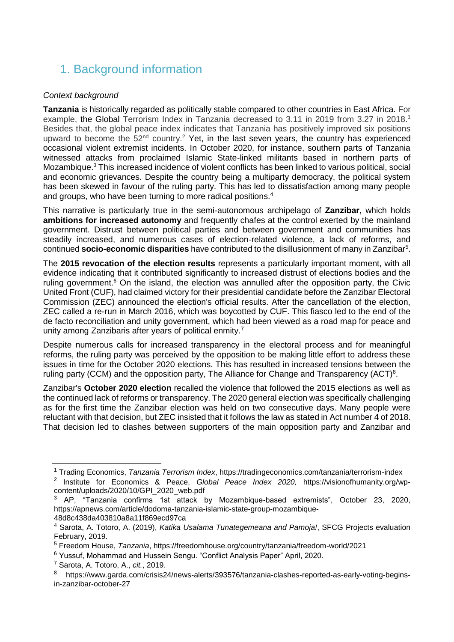# <span id="page-6-0"></span>1. Background information

#### *Context background*

**Tanzania** is historically regarded as politically stable compared to other countries in East Africa. For example, the Global Terrorism Index in Tanzania decreased to 3.11 in 2019 from 3.27 in 2018.<sup>1</sup> Besides that, the global peace index indicates that Tanzania has positively improved six positions upward to become the  $52<sup>nd</sup>$  country.<sup>2</sup> Yet, in the last seven years, the country has experienced occasional violent extremist incidents. In October 2020, for instance, southern parts of Tanzania witnessed attacks from proclaimed Islamic State-linked militants based in northern parts of Mozambique.<sup>3</sup> This increased incidence of violent conflicts has been linked to various political, social and economic grievances. Despite the country being a multiparty democracy, the political system has been skewed in favour of the ruling party. This has led to dissatisfaction among many people and groups, who have been turning to more radical positions.<sup>4</sup>

This narrative is particularly true in the semi-autonomous archipelago of **Zanzibar**, which holds **ambitions for increased autonomy** and frequently chafes at the control exerted by the mainland government. Distrust between political parties and between government and communities has steadily increased, and numerous cases of election-related violence, a lack of reforms, and continued **socio-economic disparities** have contributed to the disillusionment of many in Zanzibar<sup>5</sup>.

The **2015 revocation of the election results** represents a particularly important moment, with all evidence indicating that it contributed significantly to increased distrust of elections bodies and the ruling government.<sup>6</sup> On the island, the election was annulled after the opposition party, the Civic United Front (CUF), had claimed victory for their presidential candidate before the Zanzibar Electoral Commission (ZEC) announced the election's official results. After the cancellation of the election, ZEC called a re-run in March 2016, which was boycotted by CUF. This fiasco led to the end of the de facto reconciliation and unity government, which had been viewed as a road map for peace and unity among Zanzibaris after years of political enmity.<sup>7</sup>

Despite numerous calls for increased transparency in the electoral process and for meaningful reforms, the ruling party was perceived by the opposition to be making little effort to address these issues in time for the October 2020 elections. This has resulted in increased tensions between the ruling party (CCM) and the opposition party, The Alliance for Change and Transparency (ACT)<sup>8</sup>.

Zanzibar's **October 2020 election** recalled the violence that followed the 2015 elections as well as the continued lack of reforms or transparency. The 2020 general election was specifically challenging as for the first time the Zanzibar election was held on two consecutive days. Many people were reluctant with that decision, but ZEC insisted that it follows the law as stated in Act number 4 of 2018. That decision led to clashes between supporters of the main opposition party and Zanzibar and

 $\overline{a}$ 

<sup>1</sup> Trading Economics, *Tanzania Terrorism Index*, https://tradingeconomics.com/tanzania/terrorism-index 2 Institute for Economics & Peace, *Global Peace Index 2020,* https://visionofhumanity.org/wpcontent/uploads/2020/10/GPI\_2020\_web.pdf

<sup>3</sup> AP, "Tanzania confirms 1st attack by Mozambique-based extremists", October 23, 2020, https://apnews.com/article/dodoma-tanzania-islamic-state-group-mozambique-48d8c438da403810a8a11f869ecd97ca

<sup>4</sup> Sarota, A. Totoro, A. (2019), *Katika Usalama Tunategemeana and Pamoja!*, SFCG Projects evaluation February, 2019.

<sup>5</sup> Freedom House, *Tanzania*, https://freedomhouse.org/country/tanzania/freedom-world/2021

<sup>6</sup> Yussuf, Mohammad and Hussein Sengu. "Conflict Analysis Paper" April, 2020.

<sup>7</sup> Sarota, A. Totoro, A., *cit.*, 2019.

<sup>8</sup> https://www.garda.com/crisis24/news-alerts/393576/tanzania-clashes-reported-as-early-voting-beginsin-zanzibar-october-27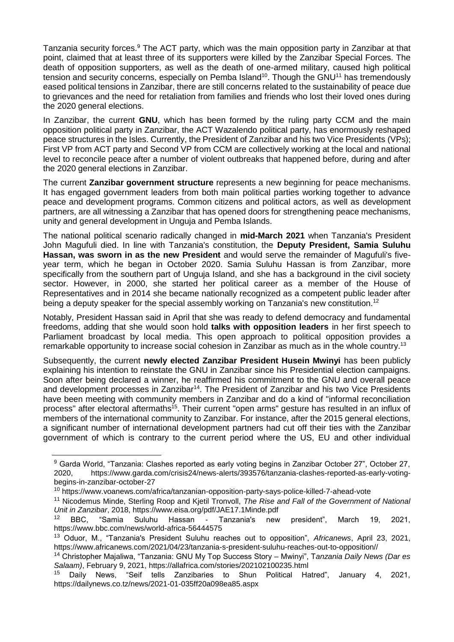Tanzania security forces.<sup>9</sup> The ACT party, which was the main opposition party in Zanzibar at that point, claimed that at least three of its supporters were killed by the Zanzibar Special Forces. The death of opposition supporters, as well as the death of one-armed military, caused high political tension and security concerns, especially on Pemba Island<sup>10</sup>. Though the GNU<sup>11</sup> has tremendously eased political tensions in Zanzibar, there are still concerns related to the sustainability of peace due to grievances and the need for retaliation from families and friends who lost their loved ones during the 2020 general elections.

In Zanzibar, the current **GNU**, which has been formed by the ruling party CCM and the main opposition political party in Zanzibar, the ACT Wazalendo political party, has enormously reshaped peace structures in the Isles. Currently, the President of Zanzibar and his two Vice Presidents (VPs); First VP from ACT party and Second VP from CCM are collectively working at the local and national level to reconcile peace after a number of violent outbreaks that happened before, during and after the 2020 general elections in Zanzibar.

The current **Zanzibar government structure** represents a new beginning for peace mechanisms. It has engaged government leaders from both main political parties working together to advance peace and development programs. Common citizens and political actors, as well as development partners, are all witnessing a Zanzibar that has opened doors for strengthening peace mechanisms, unity and general development in Unguja and Pemba Islands.

The national political scenario radically changed in **mid-March 2021** when Tanzania's President John Magufuli died. In line with Tanzania's constitution, the **Deputy President, Samia Suluhu Hassan, was sworn in as the new President** and would serve the remainder of Magufuli's fiveyear term, which he began in October 2020. Samia Suluhu Hassan is from Zanzibar, more specifically from the southern part of Unguja Island, and she has a background in the civil society sector. However, in 2000, she started her political career as a member of the House of Representatives and in 2014 she became nationally recognized as a competent public leader after being a deputy speaker for the special assembly working on Tanzania's new constitution.<sup>12</sup>

Notably, President Hassan said in April that she was ready to defend democracy and fundamental freedoms, adding that she would soon hold **talks with opposition leaders** in her first speech to Parliament broadcast by local media. This open approach to political opposition provides a remarkable opportunity to increase social cohesion in Zanzibar as much as in the whole country.<sup>13</sup>

Subsequently, the current **newly elected Zanzibar President Husein Mwinyi** has been publicly explaining his intention to reinstate the GNU in Zanzibar since his Presidential election campaigns. Soon after being declared a winner, he reaffirmed his commitment to the GNU and overall peace and development processes in Zanzibar<sup>14</sup>. The President of Zanzibar and his two Vice Presidents have been meeting with community members in Zanzibar and do a kind of "informal reconciliation process" after electoral aftermaths<sup>15</sup>. Their current "open arms" gesture has resulted in an influx of members of the international community to Zanzibar. For instance, after the 2015 general elections, a significant number of international development partners had cut off their ties with the Zanzibar government of which is contrary to the current period where the US, EU and other individual

<sup>&</sup>lt;sup>9</sup> Garda World, "Tanzania: Clashes reported as early voting begins in Zanzibar October 27", October 27, 2020, https://www.garda.com/crisis24/news-alerts/393576/tanzania-clashes-reported-as-early-votingbegins-in-zanzibar-october-27

<sup>10</sup> https://www.voanews.com/africa/tanzanian-opposition-party-says-police-killed-7-ahead-vote

<sup>&</sup>lt;sup>11</sup> Nicodemus Minde, Sterling Roop and Kietil Tronvoll, *The Rise and Fall of the Government of National Unit in Zanzibar*, 2018, https://www.eisa.org/pdf/JAE17.1Minde.pdf

<sup>&</sup>lt;sup>12</sup> BBC, "Samia Suluhu Hassan - Tanzania's new president", March 19, 2021, https://www.bbc.com/news/world-africa-56444575

<sup>13</sup> Oduor, M., "Tanzania's President Suluhu reaches out to opposition", *Africanews*, April 23, 2021, https://www.africanews.com/2021/04/23/tanzania-s-president-suluhu-reaches-out-to-opposition//

<sup>14</sup> Christopher Majaliwa, "Tanzania: GNU My Top Success Story – Mwinyi", T*anzania Daily News (Dar es Salaam)*, February 9, 2021,<https://allafrica.com/stories/202102100235.html>

<sup>15</sup> Daily News, "Seif tells Zanzibaries to Shun Political Hatred", January 4, 2021, https://dailynews.co.tz/news/2021-01-035ff20a098ea85.aspx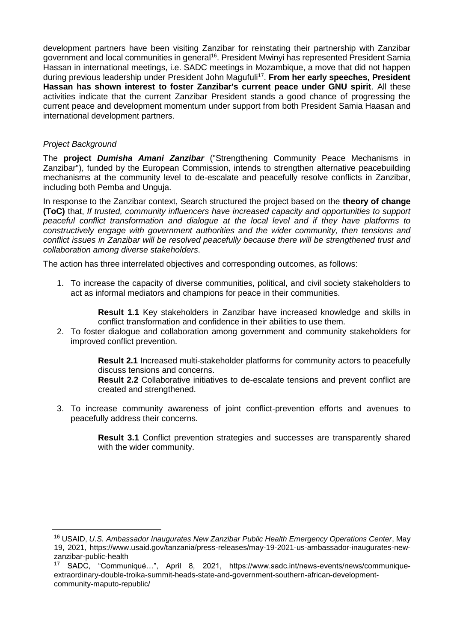development partners have been visiting Zanzibar for reinstating their partnership with Zanzibar government and local communities in general<sup>16</sup>. President Mwinyi has represented President Samia Hassan in international meetings, i.e. SADC meetings in Mozambique, a move that did not happen during previous leadership under President John Magufuli<sup>17</sup>. From her early speeches, President **Hassan has shown interest to foster Zanzibar's current peace under GNU spirit**. All these activities indicate that the current Zanzibar President stands a good chance of progressing the current peace and development momentum under support from both President Samia Haasan and international development partners.

#### *Project Background*

 $\overline{a}$ 

The **project** *Dumisha Amani Zanzibar* ("Strengthening Community Peace Mechanisms in Zanzibar"), funded by the European Commission, intends to strengthen alternative peacebuilding mechanisms at the community level to de-escalate and peacefully resolve conflicts in Zanzibar, including both Pemba and Unguja.

In response to the Zanzibar context, Search structured the project based on the **theory of change (ToC)** that, *If trusted, community influencers have increased capacity and opportunities to support peaceful conflict transformation and dialogue at the local level and if they have platforms to constructively engage with government authorities and the wider community, then tensions and conflict issues in Zanzibar will be resolved peacefully because there will be strengthened trust and collaboration among diverse stakeholders*.

The action has three interrelated objectives and corresponding outcomes, as follows:

1. To increase the capacity of diverse communities, political, and civil society stakeholders to act as informal mediators and champions for peace in their communities.

> **Result 1.1** Key stakeholders in Zanzibar have increased knowledge and skills in conflict transformation and confidence in their abilities to use them.

2. To foster dialogue and collaboration among government and community stakeholders for improved conflict prevention.

> **Result 2.1** Increased multi-stakeholder platforms for community actors to peacefully discuss tensions and concerns.

> **Result 2.2** Collaborative initiatives to de-escalate tensions and prevent conflict are created and strengthened.

3. To increase community awareness of joint conflict-prevention efforts and avenues to peacefully address their concerns.

> **Result 3.1** Conflict prevention strategies and successes are transparently shared with the wider community.

<sup>16</sup> USAID, *U.S. Ambassador Inaugurates New Zanzibar Public Health Emergency Operations Center*, May 19, 2021, https://www.usaid.gov/tanzania/press-releases/may-19-2021-us-ambassador-inaugurates-newzanzibar-public-health

<sup>17</sup> SADC, "Communiqué…", April 8, 2021, https://www.sadc.int/news-events/news/communiqueextraordinary-double-troika-summit-heads-state-and-government-southern-african-developmentcommunity-maputo-republic/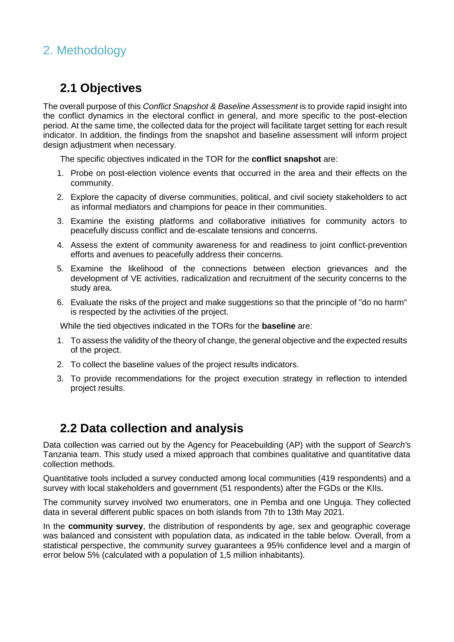# <span id="page-9-0"></span>2. Methodology

#### <span id="page-9-1"></span>**2.1 Objectives**

The overall purpose of this *Conflict Snapshot & Baseline Assessment* is to provide rapid insight into the conflict dynamics in the electoral conflict in general, and more specific to the post-election period. At the same time, the collected data for the project will facilitate target setting for each result indicator. In addition, the findings from the snapshot and baseline assessment will inform project design adjustment when necessary.

The specific objectives indicated in the TOR for the **conflict snapshot** are:

- 1. Probe on post-election violence events that occurred in the area and their effects on the community.
- 2. Explore the capacity of diverse communities, political, and civil society stakeholders to act as informal mediators and champions for peace in their communities.
- 3. Examine the existing platforms and collaborative initiatives for community actors to peacefully discuss conflict and de-escalate tensions and concerns.
- 4. Assess the extent of community awareness for and readiness to joint conflict-prevention efforts and avenues to peacefully address their concerns.
- 5. Examine the likelihood of the connections between election grievances and the development of VE activities, radicalization and recruitment of the security concerns to the study area.
- 6. Evaluate the risks of the project and make suggestions so that the principle of "do no harm" is respected by the activities of the project.

While the tied objectives indicated in the TORs for the **baseline** are:

- 1. To assess the validity of the theory of change, the general objective and the expected results of the project.
- 2. To collect the baseline values of the project results indicators.
- 3. To provide recommendations for the project execution strategy in reflection to intended project results.

#### <span id="page-9-2"></span>**2.2 Data collection and analysis**

Data collection was carried out by the Agency for Peacebuilding (AP) with the support of *Search'*s Tanzania team. This study used a mixed approach that combines qualitative and quantitative data collection methods.

Quantitative tools included a survey conducted among local communities (419 respondents) and a survey with local stakeholders and government (51 respondents) after the FGDs or the KIIs.

The community survey involved two enumerators, one in Pemba and one Unguja. They collected data in several different public spaces on both islands from 7th to 13th May 2021.

In the **community survey**, the distribution of respondents by age, sex and geographic coverage was balanced and consistent with population data, as indicated in the table below. Overall, from a statistical perspective, the community survey guarantees a 95% confidence level and a margin of error below 5% (calculated with a population of 1,5 million inhabitants).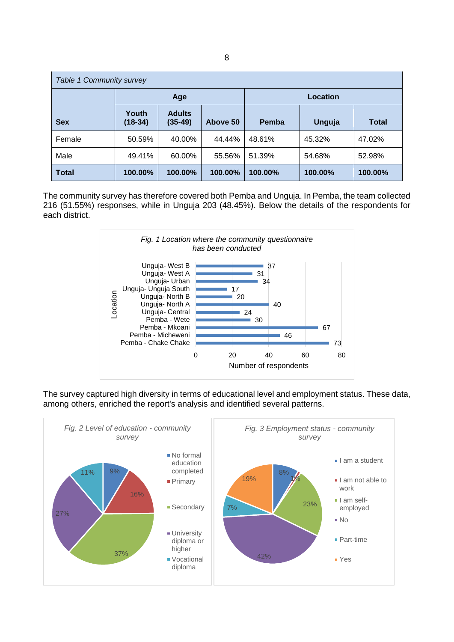| Table 1 Community survey |                    |                            |          |                 |         |              |  |  |  |  |
|--------------------------|--------------------|----------------------------|----------|-----------------|---------|--------------|--|--|--|--|
|                          |                    | Age                        |          | Location        |         |              |  |  |  |  |
| <b>Sex</b>               | Youth<br>$(18-34)$ | <b>Adults</b><br>$(35-49)$ | Above 50 | Pemba<br>Unguja |         | <b>Total</b> |  |  |  |  |
| Female                   | 50.59%             | 40.00%                     | 44.44%   | 48.61%          | 45.32%  | 47.02%       |  |  |  |  |
| Male                     | 49.41%             | 60.00%                     | 55.56%   | 51.39%          | 54.68%  | 52.98%       |  |  |  |  |
| <b>Total</b>             | 100.00%            | 100.00%                    | 100.00%  | 100.00%         | 100.00% | 100.00%      |  |  |  |  |

The community survey has therefore covered both Pemba and Unguja. In Pemba, the team collected 216 (51.55%) responses, while in Unguja 203 (48.45%). Below the details of the respondents for each district.



The survey captured high diversity in terms of educational level and employment status. These data, among others, enriched the report's analysis and identified several patterns.

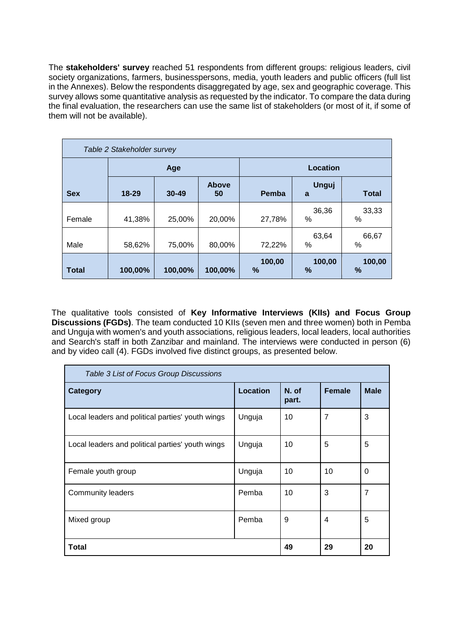The **stakeholders' survey** reached 51 respondents from different groups: religious leaders, civil society organizations, farmers, businesspersons, media, youth leaders and public officers (full list in the Annexes). Below the respondents disaggregated by age, sex and geographic coverage. This survey allows some quantitative analysis as requested by the indicator. To compare the data during the final evaluation, the researchers can use the same list of stakeholders (or most of it, if some of them will not be available).

| Table 2 Stakeholder survey |         |           |                    |                |                   |                |  |  |  |  |
|----------------------------|---------|-----------|--------------------|----------------|-------------------|----------------|--|--|--|--|
|                            |         | Age       |                    | Location       |                   |                |  |  |  |  |
| <b>Sex</b>                 | 18-29   | $30 - 49$ | <b>Above</b><br>50 | Pemba          | <b>Unguj</b><br>a | <b>Total</b>   |  |  |  |  |
| Female                     | 41,38%  | 25,00%    | 20,00%             | 27,78%         | 36,36<br>$\%$     | 33,33<br>%     |  |  |  |  |
| Male                       | 58,62%  | 75,00%    | 80,00%             | 72,22%         | 63,64<br>$\%$     | 66,67<br>%     |  |  |  |  |
| Total                      | 100,00% | 100,00%   | 100,00%            | 100,00<br>$\%$ | 100,00<br>%       | 100,00<br>$\%$ |  |  |  |  |

The qualitative tools consisted of **Key Informative Interviews (KIIs) and Focus Group Discussions (FGDs)**. The team conducted 10 KIIs (seven men and three women) both in Pemba and Unguja with women's and youth associations, religious leaders, local leaders, local authorities and Search's staff in both Zanzibar and mainland. The interviews were conducted in person (6) and by video call (4). FGDs involved five distinct groups, as presented below.

| Table 3 List of Focus Group Discussions          |                 |                |        |             |  |  |  |  |  |  |
|--------------------------------------------------|-----------------|----------------|--------|-------------|--|--|--|--|--|--|
| <b>Category</b>                                  | <b>Location</b> | N. of<br>part. | Female | <b>Male</b> |  |  |  |  |  |  |
| Local leaders and political parties' youth wings | Unguja          | 10             | 7      | 3           |  |  |  |  |  |  |
| Local leaders and political parties' youth wings | Unguja          | 10             | 5      | 5           |  |  |  |  |  |  |
| Female youth group                               | Unguja          | 10             | 10     | 0           |  |  |  |  |  |  |
| <b>Community leaders</b>                         | Pemba           | 10             | 3      | 7           |  |  |  |  |  |  |
| Mixed group                                      | Pemba           | 9              | 4      | 5           |  |  |  |  |  |  |
| Total                                            |                 | 49             | 29     | 20          |  |  |  |  |  |  |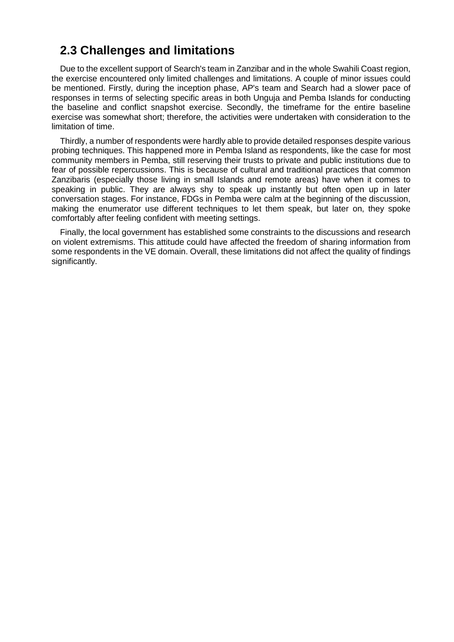#### <span id="page-12-0"></span>**2.3 Challenges and limitations**

Due to the excellent support of Search's team in Zanzibar and in the whole Swahili Coast region, the exercise encountered only limited challenges and limitations. A couple of minor issues could be mentioned. Firstly, during the inception phase, AP's team and Search had a slower pace of responses in terms of selecting specific areas in both Unguja and Pemba Islands for conducting the baseline and conflict snapshot exercise. Secondly, the timeframe for the entire baseline exercise was somewhat short; therefore, the activities were undertaken with consideration to the limitation of time.

Thirdly, a number of respondents were hardly able to provide detailed responses despite various probing techniques. This happened more in Pemba Island as respondents, like the case for most community members in Pemba, still reserving their trusts to private and public institutions due to fear of possible repercussions. This is because of cultural and traditional practices that common Zanzibaris (especially those living in small Islands and remote areas) have when it comes to speaking in public. They are always shy to speak up instantly but often open up in later conversation stages. For instance, FDGs in Pemba were calm at the beginning of the discussion, making the enumerator use different techniques to let them speak, but later on, they spoke comfortably after feeling confident with meeting settings.

Finally, the local government has established some constraints to the discussions and research on violent extremisms. This attitude could have affected the freedom of sharing information from some respondents in the VE domain. Overall, these limitations did not affect the quality of findings significantly.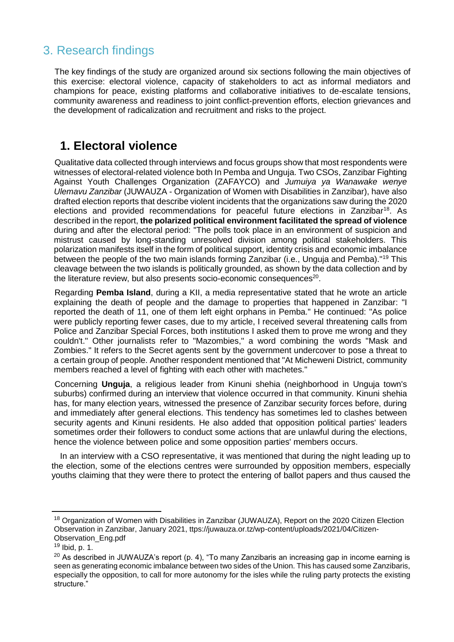# <span id="page-13-0"></span>3. Research findings

The key findings of the study are organized around six sections following the main objectives of this exercise: electoral violence, capacity of stakeholders to act as informal mediators and champions for peace, existing platforms and collaborative initiatives to de-escalate tensions, community awareness and readiness to joint conflict-prevention efforts, election grievances and the development of radicalization and recruitment and risks to the project.

#### <span id="page-13-1"></span>**1. Electoral violence**

Qualitative data collected through interviews and focus groups show that most respondents were witnesses of electoral-related violence both In Pemba and Unguja. Two CSOs, Zanzibar Fighting Against Youth Challenges Organization (ZAFAYCO) and *Jumuiya ya Wanawake wenye Ulemavu Zanzibar* (JUWAUZA - Organization of Women with Disabilities in Zanzibar), have also drafted election reports that describe violent incidents that the organizations saw during the 2020 elections and provided recommendations for peaceful future elections in Zanzibar<sup>18</sup>. As described in the report, **the polarized political environment facilitated the spread of violence** during and after the electoral period: "The polls took place in an environment of suspicion and mistrust caused by long-standing unresolved division among political stakeholders. This polarization manifests itself in the form of political support, identity crisis and economic imbalance between the people of the two main islands forming Zanzibar (i.e., Unguja and Pemba)."<sup>19</sup> This cleavage between the two islands is politically grounded, as shown by the data collection and by the literature review, but also presents socio-economic consequences<sup>20</sup>.

Regarding **Pemba Island**, during a KII, a media representative stated that he wrote an article explaining the death of people and the damage to properties that happened in Zanzibar: "I reported the death of 11, one of them left eight orphans in Pemba." He continued: "As police were publicly reporting fewer cases, due to my article, I received several threatening calls from Police and Zanzibar Special Forces, both institutions I asked them to prove me wrong and they couldn't." Other journalists refer to "Mazombies," a word combining the words "Mask and Zombies." It refers to the Secret agents sent by the government undercover to pose a threat to a certain group of people. Another respondent mentioned that "At Micheweni District, community members reached a level of fighting with each other with machetes."

Concerning **Unguja**, a religious leader from Kinuni shehia (neighborhood in Unguja town's suburbs) confirmed during an interview that violence occurred in that community. Kinuni shehia has, for many election years, witnessed the presence of Zanzibar security forces before, during and immediately after general elections. This tendency has sometimes led to clashes between security agents and Kinuni residents. He also added that opposition political parties' leaders sometimes order their followers to conduct some actions that are unlawful during the elections, hence the violence between police and some opposition parties' members occurs.

In an interview with a CSO representative, it was mentioned that during the night leading up to the election, some of the elections centres were surrounded by opposition members, especially youths claiming that they were there to protect the entering of ballot papers and thus caused the

<sup>&</sup>lt;sup>18</sup> Organization of Women with Disabilities in Zanzibar (JUWAUZA), Report on the 2020 Citizen Election Observation in Zanzibar, January 2021, ttps://juwauza.or.tz/wp-content/uploads/2021/04/Citizen-Observation\_Eng.pdf

<sup>19</sup> Ibid, p. 1.

 $20$  As described in JUWAUZA's report (p. 4), "To many Zanzibaris an increasing gap in income earning is seen as generating economic imbalance between two sides of the Union. This has caused some Zanzibaris, especially the opposition, to call for more autonomy for the isles while the ruling party protects the existing structure."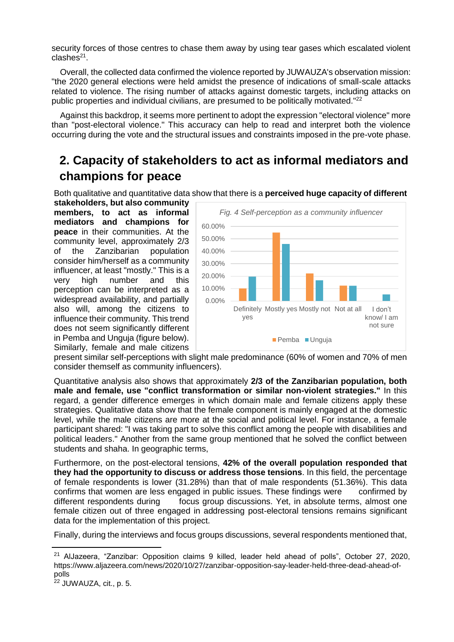security forces of those centres to chase them away by using tear gases which escalated violent clashes<sup>21</sup>.

Overall, the collected data confirmed the violence reported by JUWAUZA's observation mission: "the 2020 general elections were held amidst the presence of indications of small-scale attacks related to violence. The rising number of attacks against domestic targets, including attacks on public properties and individual civilians, are presumed to be politically motivated."<sup>22</sup>

Against this backdrop, it seems more pertinent to adopt the expression "electoral violence" more than "post-electoral violence." This accuracy can help to read and interpret both the violence occurring during the vote and the structural issues and constraints imposed in the pre-vote phase.

# <span id="page-14-0"></span>**2. Capacity of stakeholders to act as informal mediators and champions for peace**

Both qualitative and quantitative data show that there is a **perceived huge capacity of different** 

**stakeholders, but also community members, to act as informal mediators and champions for peace** in their communities. At the community level, approximately 2/3 of the Zanzibarian population consider him/herself as a community influencer, at least "mostly." This is a very high number and this perception can be interpreted as a widespread availability, and partially also will, among the citizens to influence their community. This trend does not seem significantly different in Pemba and Unguja (figure below). Similarly, female and male citizens



present similar self-perceptions with slight male predominance (60% of women and 70% of men consider themself as community influencers).

Quantitative analysis also shows that approximately **2/3 of the Zanzibarian population, both male and female, use "conflict transformation or similar non-violent strategies."** In this regard, a gender difference emerges in which domain male and female citizens apply these strategies. Qualitative data show that the female component is mainly engaged at the domestic level, while the male citizens are more at the social and political level. For instance, a female participant shared: "I was taking part to solve this conflict among the people with disabilities and political leaders." Another from the same group mentioned that he solved the conflict between students and shaha. In geographic terms,

Furthermore, on the post-electoral tensions, **42% of the overall population responded that they had the opportunity to discuss or address those tensions**. In this field, the percentage of female respondents is lower (31.28%) than that of male respondents (51.36%). This data confirms that women are less engaged in public issues. These findings were confirmed by different respondents during focus group discussions. Yet, in absolute terms, almost one female citizen out of three engaged in addressing post-electoral tensions remains significant data for the implementation of this project.

Finally, during the interviews and focus groups discussions, several respondents mentioned that,

<sup>21</sup> AlJazeera, "Zanzibar: Opposition claims 9 killed, leader held ahead of polls", October 27, 2020, https://www.aljazeera.com/news/2020/10/27/zanzibar-opposition-say-leader-held-three-dead-ahead-ofpolls

<sup>&</sup>lt;sup>22</sup> JUWAUZA, cit., p. 5.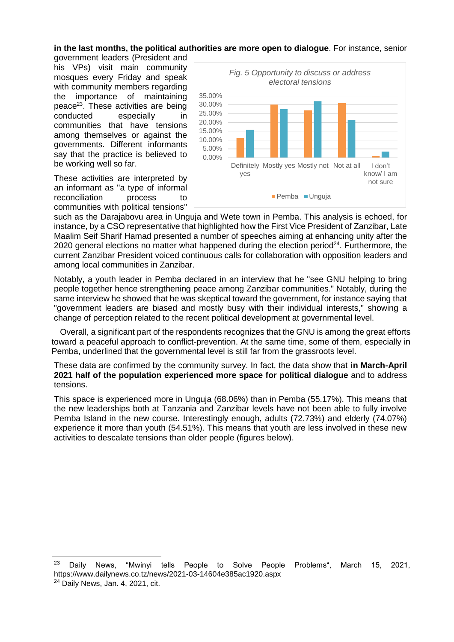#### **in the last months, the political authorities are more open to dialogue**. For instance, senior

government leaders (President and his VPs) visit main community mosques every Friday and speak with community members regarding the importance of maintaining peace<sup>23</sup>. These activities are being conducted especially in communities that have tensions among themselves or against the governments. Different informants say that the practice is believed to be working well so far.

These activities are interpreted by an informant as "a type of informal reconciliation process to communities with political tensions"



such as the Darajabovu area in Unguja and Wete town in Pemba. This analysis is echoed, for instance, by a CSO representative that highlighted how the First Vice President of Zanzibar, Late Maalim Seif Sharif Hamad presented a number of speeches aiming at enhancing unity after the 2020 general elections no matter what happened during the election period<sup>24</sup>. Furthermore, the current Zanzibar President voiced continuous calls for collaboration with opposition leaders and among local communities in Zanzibar.

Notably, a youth leader in Pemba declared in an interview that he "see GNU helping to bring people together hence strengthening peace among Zanzibar communities." Notably, during the same interview he showed that he was skeptical toward the government, for instance saying that "government leaders are biased and mostly busy with their individual interests," showing a change of perception related to the recent political development at governmental level.

Overall, a significant part of the respondents recognizes that the GNU is among the great efforts toward a peaceful approach to conflict-prevention. At the same time, some of them, especially in Pemba, underlined that the governmental level is still far from the grassroots level.

These data are confirmed by the community survey. In fact, the data show that **in March-April 2021 half of the population experienced more space for political dialogue** and to address tensions.

This space is experienced more in Unguja (68.06%) than in Pemba (55.17%). This means that the new leaderships both at Tanzania and Zanzibar levels have not been able to fully involve Pemba Island in the new course. Interestingly enough, adults (72.73%) and elderly (74.07%) experience it more than youth (54.51%). This means that youth are less involved in these new activities to descalate tensions than older people (figures below).

 $\overline{a}$ 

<sup>&</sup>lt;sup>23</sup> Daily News, "Mwinyi tells People to Solve People Problems", March 15, 2021, https://www.dailynews.co.tz/news/2021-03-14604e385ac1920.aspx

<sup>24</sup> Daily News, [Jan.](https://dailynews.co.tz/news/2021-01-035ff20a098ea85.aspx) 4, 2021, cit.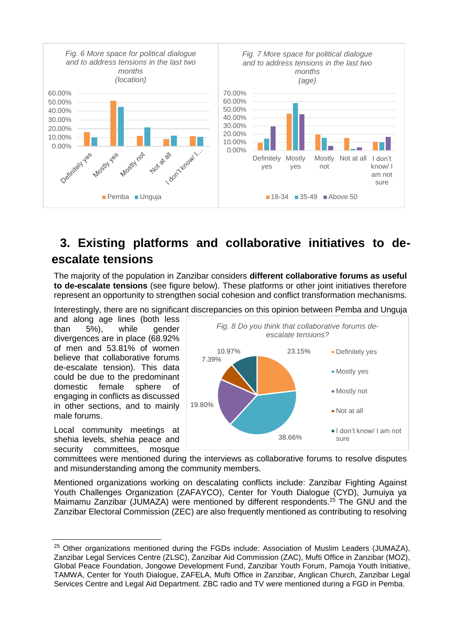

# <span id="page-16-0"></span>**3. Existing platforms and collaborative initiatives to deescalate tensions**

The majority of the population in Zanzibar considers **different collaborative forums as useful to de-escalate tensions** (see figure below). These platforms or other joint initiatives therefore represent an opportunity to strengthen social cohesion and conflict transformation mechanisms.

Interestingly, there are no significant discrepancies on this opinion between Pemba and Unguja

and along age lines (both less than 5%), while gender divergences are in place (68.92% of men and 53.81% of women believe that collaborative forums de-escalate tension). This data could be due to the predominant domestic female sphere of engaging in conflicts as discussed in other sections, and to mainly male forums.

Local community meetings at shehia levels, shehia peace and security committees, mosque

 $\overline{a}$ 



committees were mentioned during the interviews as collaborative forums to resolve disputes and misunderstanding among the community members.

Mentioned organizations working on descalating conflicts include: Zanzibar Fighting Against Youth Challenges Organization (ZAFAYCO), Center for Youth Dialogue (CYD), Jumuiya ya Maimamu Zanzibar (JUMAZA) were mentioned by different respondents.<sup>25</sup> The GNU and the Zanzibar Electoral Commission (ZEC) are also frequently mentioned as contributing to resolving

<sup>&</sup>lt;sup>25</sup> Other organizations mentioned during the FGDs include: Association of Muslim Leaders (JUMAZA), Zanzibar Legal Services Centre (ZLSC), Zanzibar Aid Commission (ZAC), Mufti Office in Zanzibar (MOZ), Global Peace Foundation, Jongowe Development Fund, Zanzibar Youth Forum, Pamoja Youth Initiative, TAMWA, Center for Youth Dialogue, ZAFELA, Mufti Office in Zanzibar, Anglican Church, Zanzibar Legal Services Centre and Legal Aid Department. ZBC radio and TV were mentioned during a FGD in Pemba.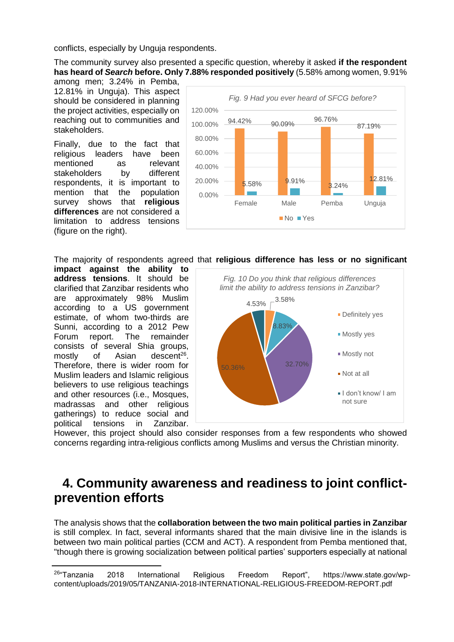conflicts, especially by Unguja respondents.

The community survey also presented a specific question, whereby it asked **if the respondent has heard of** *Search* **before. Only 7.88% responded positively** (5.58% among women, 9.91%

among men; 3.24% in Pemba, 12.81% in Unguja). This aspect should be considered in planning the project activities, especially on reaching out to communities and stakeholders.

Finally, due to the fact that religious leaders have been mentioned as relevant stakeholders by different respondents, it is important to mention that the population survey shows that **religious differences** are not considered a limitation to address tensions (figure on the right).



The majority of respondents agreed that **religious difference has less or no significant** 

**impact against the ability to address tensions**. It should be clarified that Zanzibar residents who are approximately 98% Muslim according to a US government estimate, of whom two-thirds are Sunni, according to a 2012 Pew Forum report. The remainder consists of several Shia groups, mostly of Asian descent<sup>26</sup>. Therefore, there is wider room for Muslim leaders and Islamic religious believers to use religious teachings and other resources (i.e., Mosques, madrassas and other religious gatherings) to reduce social and political tensions in Zanzibar.



However, this project should also consider responses from a few respondents who showed concerns regarding intra-religious conflicts among Muslims and versus the Christian minority.

#### <span id="page-17-0"></span>**4. Community awareness and readiness to joint conflictprevention efforts**

The analysis shows that the **collaboration between the two main political parties in Zanzibar** is still complex. In fact, several informants shared that the main divisive line in the islands is between two main political parties (CCM and ACT). A respondent from Pemba mentioned that, "though there is growing socialization between political parties' supporters especially at national

 <sup>26</sup>"Tanzania 2018 International Religious Freedom Report", https://www.state.gov/wpcontent/uploads/2019/05/TANZANIA-2018-INTERNATIONAL-RELIGIOUS-FREEDOM-REPORT.pdf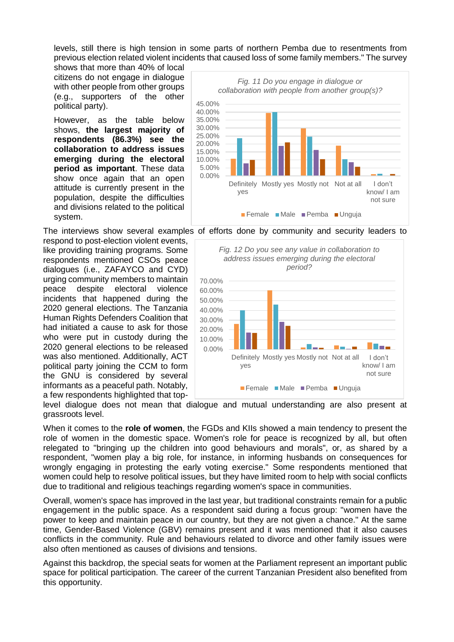levels, still there is high tension in some parts of northern Pemba due to resentments from previous election related violent incidents that caused loss of some family members." The survey

shows that more than 40% of local citizens do not engage in dialogue with other people from other groups (e.g., supporters of the other political party).

However, as the table below shows, **the largest majority of respondents (86.3%) see the collaboration to address issues emerging during the electoral period as important**. These data show once again that an open attitude is currently present in the population, despite the difficulties and divisions related to the political system.

respond to post-election violent events, like providing training programs. Some respondents mentioned CSOs peace dialogues (i.e., ZAFAYCO and CYD) urging community members to maintain peace despite electoral violence incidents that happened during the 2020 general elections. The Tanzania Human Rights Defenders Coalition that had initiated a cause to ask for those who were put in custody during the 2020 general elections to be released was also mentioned. Additionally, ACT political party joining the CCM to form the GNU is considered by several informants as a peaceful path. Notably, a few respondents highlighted that top-

0.00% 5.00% 10.00% 15.00% 20.00% 25.00% 30.00% 35.00% 40.00% 45.00% Definitely Mostly yes Mostly not Not at all I don't yes know/ I am not sure *Fig. 11 Do you engage in dialogue or collaboration with people from another group(s)?* Female Male Pemba Unguja

The interviews show several examples of efforts done by community and security leaders to



level dialogue does not mean that dialogue and mutual understanding are also present at grassroots level.

When it comes to the **role of women**, the FGDs and KIIs showed a main tendency to present the role of women in the domestic space. Women's role for peace is recognized by all, but often relegated to "bringing up the children into good behaviours and morals", or, as shared by a respondent, "women play a big role, for instance, in informing husbands on consequences for wrongly engaging in protesting the early voting exercise." Some respondents mentioned that women could help to resolve political issues, but they have limited room to help with social conflicts due to traditional and religious teachings regarding women's space in communities.

Overall, women's space has improved in the last year, but traditional constraints remain for a public engagement in the public space. As a respondent said during a focus group: "women have the power to keep and maintain peace in our country, but they are not given a chance." At the same time, Gender-Based Violence (GBV) remains present and it was mentioned that it also causes conflicts in the community. Rule and behaviours related to divorce and other family issues were also often mentioned as causes of divisions and tensions.

Against this backdrop, the special seats for women at the Parliament represent an important public space for political participation. The career of the current Tanzanian President also benefited from this opportunity.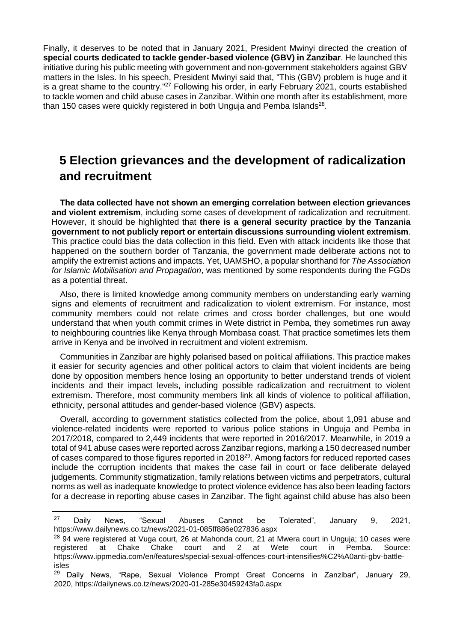Finally, it deserves to be noted that in January 2021, President Mwinyi directed the creation of **special courts dedicated to tackle gender-based violence (GBV) in Zanzibar**. He launched this initiative during his public meeting with government and non-government stakeholders against GBV matters in the Isles. In his speech, President Mwinyi said that, "This (GBV) problem is huge and it is a great shame to the country."<sup>27</sup> Following his order, in early February 2021, courts established to tackle women and child abuse cases in Zanzibar. Within one month after its establishment, more than 150 cases were quickly registered in both Unguja and Pemba Islands $^{28}$ .

# <span id="page-19-0"></span>**5 Election grievances and the development of radicalization and recruitment**

**The data collected have not shown an emerging correlation between election grievances and violent extremism**, including some cases of development of radicalization and recruitment. However, it should be highlighted that **there is a general security practice by the Tanzania government to not publicly report or entertain discussions surrounding violent extremism**. This practice could bias the data collection in this field. Even with attack incidents like those that happened on the southern border of Tanzania, the government made deliberate actions not to amplify the extremist actions and impacts. Yet, UAMSHO, a popular shorthand for *The Association for Islamic Mobilisation and Propagation*, was mentioned by some respondents during the FGDs as a potential threat.

Also, there is limited knowledge among community members on understanding early warning signs and elements of recruitment and radicalization to violent extremism. For instance, most community members could not relate crimes and cross border challenges, but one would understand that when youth commit crimes in Wete district in Pemba, they sometimes run away to neighbouring countries like Kenya through Mombasa coast. That practice sometimes lets them arrive in Kenya and be involved in recruitment and violent extremism.

Communities in Zanzibar are highly polarised based on political affiliations. This practice makes it easier for security agencies and other political actors to claim that violent incidents are being done by opposition members hence losing an opportunity to better understand trends of violent incidents and their impact levels, including possible radicalization and recruitment to violent extremism. Therefore, most community members link all kinds of violence to political affiliation, ethnicity, personal attitudes and gender-based violence (GBV) aspects.

Overall, according to government statistics collected from the police, about 1,091 abuse and violence-related incidents were reported to various police stations in Unguja and Pemba in 2017/2018, compared to 2,449 incidents that were reported in 2016/2017. Meanwhile, in 2019 a total of 941 abuse cases were reported across Zanzibar regions, marking a 150 decreased number of cases compared to those figures reported in 2018<sup>29</sup>. Among factors for reduced reported cases include the corruption incidents that makes the case fail in court or face deliberate delayed judgements. Community stigmatization, family relations between victims and perpetrators, cultural norms as well as inadequate knowledge to protect violence evidence has also been leading factors for a decrease in reporting abuse cases in Zanzibar. The fight against child abuse has also been

<sup>&</sup>lt;sup>27</sup> Daily News, "Sexual Abuses Cannot be Tolerated", January 9, 2021, https://www.dailynews.co.tz/news/2021-01-085ff886e027836.aspx

<sup>&</sup>lt;sup>28</sup> 94 were registered at Vuga court, 26 at Mahonda court, 21 at Mwera court in Unguja; 10 cases were registered at Chake Chake court and 2 at Wete court in Pemba. Source: https://www.ippmedia.com/en/features/special-sexual-offences-court-intensifies%C2%A0anti-gbv-battleisles

 $29$  Daily News, "Rape, Sexual Violence Prompt Great Concerns in Zanzibar", January 29, 2020, https://dailynews.co.tz/news/2020-01-285e30459243fa0.aspx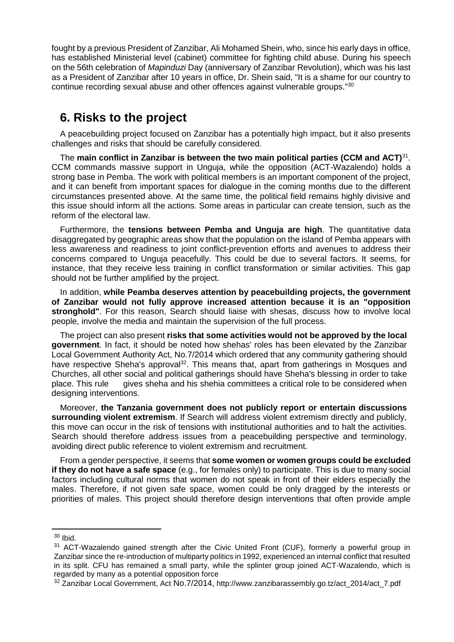fought by a previous President of Zanzibar, Ali Mohamed Shein, who, since his early days in office, has established Ministerial level (cabinet) committee for fighting child abuse. During his speech on the 56th celebration of *Mapinduzi* Day (anniversary of Zanzibar Revolution), which was his last as a President of Zanzibar after 10 years in office, Dr. Shein said, "It is a shame for our country to continue recording sexual abuse and other offences against vulnerable groups."<sup>30</sup>

#### <span id="page-20-0"></span>**6. Risks to the project**

A peacebuilding project focused on Zanzibar has a potentially high impact, but it also presents challenges and risks that should be carefully considered.

The **main conflict in Zanzibar is between the two main political parties (CCM and ACT)**<sup>31</sup> . CCM commands massive support in Unguja, while the opposition (ACT-Wazalendo) holds a strong base in Pemba. The work with political members is an important component of the project, and it can benefit from important spaces for dialogue in the coming months due to the different circumstances presented above. At the same time, the political field remains highly divisive and this issue should inform all the actions. Some areas in particular can create tension, such as the reform of the electoral law.

Furthermore, the **tensions between Pemba and Unguja are high**. The quantitative data disaggregated by geographic areas show that the population on the island of Pemba appears with less awareness and readiness to joint conflict-prevention efforts and avenues to address their concerns compared to Unguja peacefully. This could be due to several factors. It seems, for instance, that they receive less training in conflict transformation or similar activities. This gap should not be further amplified by the project.

In addition, **while Peamba deserves attention by peacebuilding projects, the government of Zanzibar would not fully approve increased attention because it is an "opposition stronghold"**. For this reason, Search should liaise with shesas, discuss how to involve local people, involve the media and maintain the supervision of the full process.

The project can also present **risks that some activities would not be approved by the local government**. In fact, it should be noted how shehas' roles has been elevated by the Zanzibar Local Government Authority Act, No.7/2014 which ordered that any community gathering should have respective Sheha's approval<sup>32</sup>. This means that, apart from gatherings in Mosques and Churches, all other social and political gatherings should have Sheha's blessing in order to take place. This rule gives sheha and his shehia committees a critical role to be considered when designing interventions.

Moreover, **the Tanzania government does not publicly report or entertain discussions surrounding violent extremism**. If Search will address violent extremism directly and publicly, this move can occur in the risk of tensions with institutional authorities and to halt the activities. Search should therefore address issues from a peacebuilding perspective and terminology, avoiding direct public reference to violent extremism and recruitment.

From a gender perspective, it seems that **some women or women groups could be excluded if they do not have a safe space** (e.g., for females only) to participate. This is due to many social factors including cultural norms that women do not speak in front of their elders especially the males. Therefore, if not given safe space, women could be only dragged by the interests or priorities of males. This project should therefore design interventions that often provide ample

 $\overline{a}$ 

<sup>30</sup> Ibid.

<sup>&</sup>lt;sup>31</sup> ACT-Wazalendo gained strength after the Civic United Front (CUF), formerly a powerful group in Zanzibar since the re-introduction of multiparty politics in 1992, experienced an internal conflict that resulted in its split. CFU has remained a small party, while the splinter group joined ACT-Wazalendo, which is regarded by many as a potential opposition force

<sup>&</sup>lt;sup>32</sup> Zanzibar Local Government, Act No.7/2014, http://www.zanzibarassembly.go.tz/act\_2014/act\_7.pdf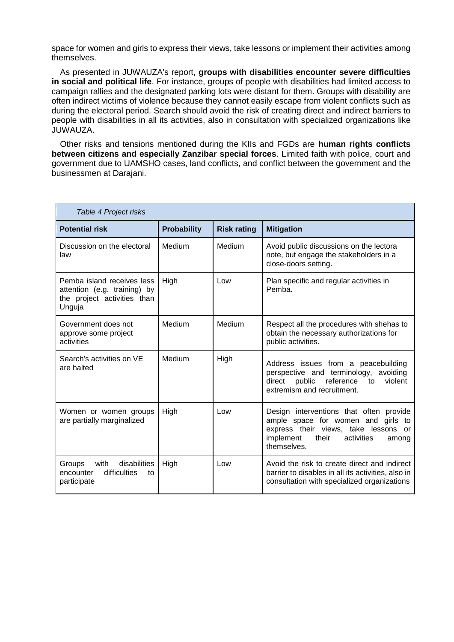space for women and girls to express their views, take lessons or implement their activities among themselves.

As presented in JUWAUZA's report, **groups with disabilities encounter severe difficulties in social and political life**. For instance, groups of people with disabilities had limited access to campaign rallies and the designated parking lots were distant for them. Groups with disability are often indirect victims of violence because they cannot easily escape from violent conflicts such as during the electoral period. Search should avoid the risk of creating direct and indirect barriers to people with disabilities in all its activities, also in consultation with specialized organizations like JUWAUZA.

Other risks and tensions mentioned during the KIIs and FGDs are **human rights conflicts between citizens and especially Zanzibar special forces**. Limited faith with police, court and government due to UAMSHO cases, land conflicts, and conflict between the government and the businessmen at Darajani.

| Table 4 Project risks                                                                               |                    |                    |                                                                                                                                                                                             |
|-----------------------------------------------------------------------------------------------------|--------------------|--------------------|---------------------------------------------------------------------------------------------------------------------------------------------------------------------------------------------|
| <b>Potential risk</b>                                                                               | <b>Probability</b> | <b>Risk rating</b> | <b>Mitigation</b>                                                                                                                                                                           |
| Discussion on the electoral<br>law                                                                  | Medium             | Medium             | Avoid public discussions on the lectora<br>note, but engage the stakeholders in a<br>close-doors setting.                                                                                   |
| Pemba island receives less<br>attention (e.g. training) by<br>the project activities than<br>Unguja | High               | Low                | Plan specific and regular activities in<br>Pemba.                                                                                                                                           |
| Government does not<br>approve some project<br>activities                                           | Medium             | Medium             | Respect all the procedures with shehas to<br>obtain the necessary authorizations for<br>public activities.                                                                                  |
| Search's activities on VE<br>are halted                                                             | Medium             | High               | Address issues from a peacebuilding<br>perspective and terminology, avoiding<br>public reference<br>violent<br>direct<br>to<br>extremism and recruitment.                                   |
| Women or women groups<br>are partially marginalized                                                 | High               | Low                | Design interventions that often provide<br>ample space for women and girls to<br>express their views, take lessons<br><b>or</b><br>implement<br>their<br>activities<br>among<br>themselves. |
| disabilities<br>with<br>Groups<br>difficulties<br>encounter<br>to<br>participate                    | High               | Low                | Avoid the risk to create direct and indirect<br>barrier to disables in all its activities, also in<br>consultation with specialized organizations                                           |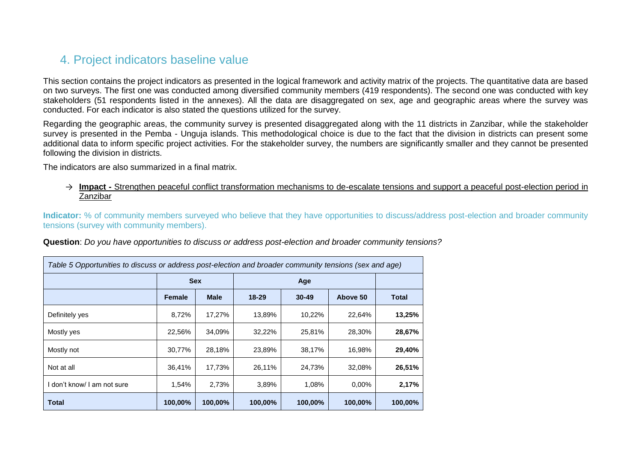#### 4. Project indicators baseline value

This section contains the project indicators as presented in the logical framework and activity matrix of the projects. The quantitative data are based on two surveys. The first one was conducted among diversified community members (419 respondents). The second one was conducted with key stakeholders (51 respondents listed in the annexes). All the data are disaggregated on sex, age and geographic areas where the survey was conducted. For each indicator is also stated the questions utilized for the survey.

Regarding the geographic areas, the community survey is presented disaggregated along with the 11 districts in Zanzibar, while the stakeholder survey is presented in the Pemba - Unguja islands. This methodological choice is due to the fact that the division in districts can present some additional data to inform specific project activities. For the stakeholder survey, the numbers are significantly smaller and they cannot be presented following the division in districts.

The indicators are also summarized in a final matrix.

→ **Impact -** Strengthen peaceful conflict transformation mechanisms to de-escalate tensions and support a peaceful post-election period in Zanzibar

**Indicator:** % of community members surveyed who believe that they have opportunities to discuss/address post-election and broader community tensions (survey with community members).

<span id="page-22-0"></span>**Question**: *Do you have opportunities to discuss or address post-election and broader community tensions?*

| Table 5 Opportunities to discuss or address post-election and broader community tensions (sex and age) |               |             |           |           |          |              |  |  |  |  |
|--------------------------------------------------------------------------------------------------------|---------------|-------------|-----------|-----------|----------|--------------|--|--|--|--|
|                                                                                                        |               | <b>Sex</b>  |           |           |          |              |  |  |  |  |
|                                                                                                        | <b>Female</b> | <b>Male</b> | $18 - 29$ | $30 - 49$ | Above 50 | <b>Total</b> |  |  |  |  |
| Definitely yes                                                                                         | 8,72%         | 17,27%      | 13,89%    | 10,22%    | 22,64%   | 13,25%       |  |  |  |  |
| Mostly yes                                                                                             | 22,56%        | 34,09%      | 32,22%    | 25,81%    | 28,30%   | 28,67%       |  |  |  |  |
| Mostly not                                                                                             | 30,77%        | 28,18%      | 23,89%    | 38,17%    | 16,98%   | 29,40%       |  |  |  |  |
| Not at all                                                                                             | 36,41%        | 17,73%      | 26,11%    | 24.73%    | 32,08%   | 26,51%       |  |  |  |  |
| I don't know/ I am not sure                                                                            | 1,54%         | 2,73%       | 3,89%     | 1,08%     | 0.00%    | 2,17%        |  |  |  |  |
| <b>Total</b>                                                                                           | 100,00%       | 100,00%     | 100,00%   | 100,00%   | 100,00%  | 100,00%      |  |  |  |  |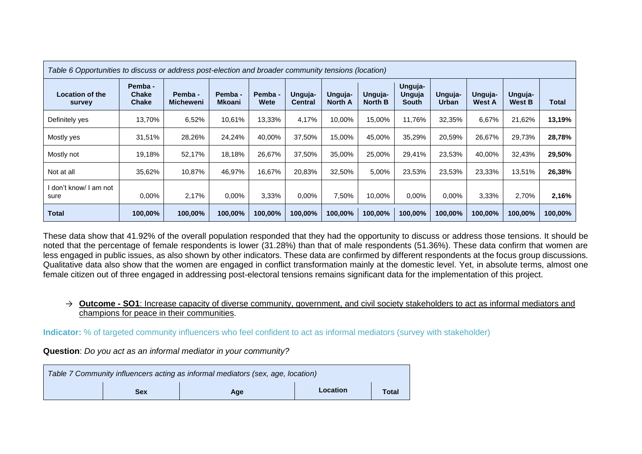| Table 6 Opportunities to discuss or address post-election and broader community tensions (location) |                                         |                             |                          |                 |                           |                           |                           |                                   |                  |                          |                   |         |
|-----------------------------------------------------------------------------------------------------|-----------------------------------------|-----------------------------|--------------------------|-----------------|---------------------------|---------------------------|---------------------------|-----------------------------------|------------------|--------------------------|-------------------|---------|
| Location of the<br>survey                                                                           | Pemba -<br><b>Chake</b><br><b>Chake</b> | Pemba -<br><b>Micheweni</b> | Pemba -<br><b>Mkoani</b> | Pemba -<br>Wete | Unguja-<br><b>Central</b> | Unguja-<br><b>North A</b> | Unguja-<br><b>North B</b> | Unguja-<br>Unguja<br><b>South</b> | Unguja-<br>Urban | Unguja-<br><b>West A</b> | Unguja-<br>West B | Total   |
| Definitely yes                                                                                      | 13,70%                                  | 6,52%                       | 10,61%                   | 13,33%          | 4,17%                     | 10,00%                    | 15,00%                    | 11.76%                            | 32,35%           | 6,67%                    | 21,62%            | 13,19%  |
| Mostly yes                                                                                          | 31,51%                                  | 28,26%                      | 24,24%                   | 40,00%          | 37,50%                    | 15.00%                    | 45,00%                    | 35,29%                            | 20,59%           | 26,67%                   | 29,73%            | 28,78%  |
| Mostly not                                                                                          | 19,18%                                  | 52,17%                      | 18,18%                   | 26,67%          | 37,50%                    | 35.00%                    | 25,00%                    | 29.41%                            | 23,53%           | 40.00%                   | 32,43%            | 29,50%  |
| Not at all                                                                                          | 35,62%                                  | 10,87%                      | 46,97%                   | 16,67%          | 20,83%                    | 32,50%                    | 5,00%                     | 23,53%                            | 23,53%           | 23,33%                   | 13,51%            | 26,38%  |
| l don't know/ I am not<br>sure                                                                      | $0.00\%$                                | 2,17%                       | 0.00%                    | 3,33%           | $0.00\%$                  | 7,50%                     | 10,00%                    | $0.00\%$                          | $0.00\%$         | 3,33%                    | 2,70%             | 2,16%   |
| <b>Total</b>                                                                                        | 100,00%                                 | 100,00%                     | 100,00%                  | 100,00%         | 100,00%                   | 100,00%                   | 100,00%                   | 100,00%                           | 100,00%          | 100,00%                  | 100,00%           | 100,00% |

These data show that 41.92% of the overall population responded that they had the opportunity to discuss or address those tensions. It should be noted that the percentage of female respondents is lower (31.28%) than that of male respondents (51.36%). These data confirm that women are less engaged in public issues, as also shown by other indicators. These data are confirmed by different respondents at the focus group discussions. Qualitative data also show that the women are engaged in conflict transformation mainly at the domestic level. Yet, in absolute terms, almost one female citizen out of three engaged in addressing post-electoral tensions remains significant data for the implementation of this project.

#### → **Outcome - SO1**: Increase capacity of diverse community, government, and civil society stakeholders to act as informal mediators and champions for peace in their communities.

**Indicator:** % of targeted community influencers who feel confident to act as informal mediators (survey with stakeholder)

**Question**: *Do you act as an informal mediator in your community?* 

| Table 7 Community influencers acting as informal mediators (sex, age, location) |            |     |          |              |  |  |  |
|---------------------------------------------------------------------------------|------------|-----|----------|--------------|--|--|--|
|                                                                                 | <b>Sex</b> | Age | Location | <b>Total</b> |  |  |  |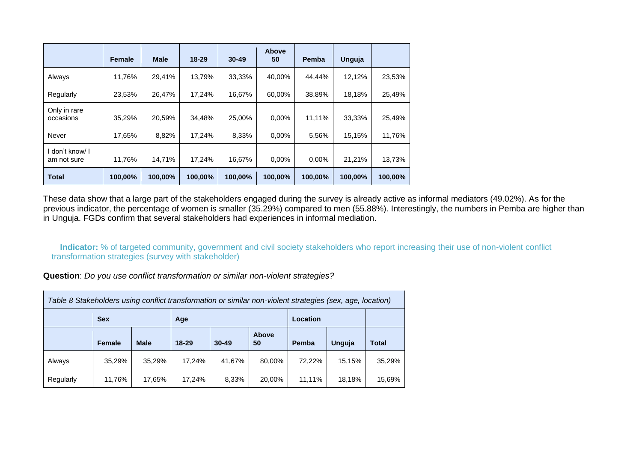|                              | <b>Female</b> | <b>Male</b> | $18 - 29$ | $30 - 49$ | Above<br>50 | Pemba    | Unguja  |         |
|------------------------------|---------------|-------------|-----------|-----------|-------------|----------|---------|---------|
| Always                       | 11,76%        | 29,41%      | 13.79%    | 33.33%    | 40.00%      | 44,44%   | 12.12%  | 23,53%  |
| Regularly                    | 23,53%        | 26,47%      | 17,24%    | 16,67%    | 60,00%      | 38,89%   | 18,18%  | 25,49%  |
| Only in rare<br>occasions    | 35.29%        | 20.59%      | 34,48%    | 25.00%    | $0.00\%$    | 11,11%   | 33,33%  | 25,49%  |
| Never                        | 17,65%        | 8,82%       | 17,24%    | 8,33%     | $0.00\%$    | 5,56%    | 15,15%  | 11,76%  |
| don't know/ I<br>am not sure | 11,76%        | 14,71%      | 17,24%    | 16,67%    | $0.00\%$    | $0.00\%$ | 21,21%  | 13,73%  |
| <b>Total</b>                 | 100,00%       | 100,00%     | 100,00%   | 100,00%   | 100,00%     | 100,00%  | 100,00% | 100,00% |

These data show that a large part of the stakeholders engaged during the survey is already active as informal mediators (49.02%). As for the previous indicator, the percentage of women is smaller (35.29%) compared to men (55.88%). Interestingly, the numbers in Pemba are higher than in Unguja. FGDs confirm that several stakeholders had experiences in informal mediation.

**Indicator:** % of targeted community, government and civil society stakeholders who report increasing their use of non-violent conflict transformation strategies (survey with stakeholder)

**Question**: *Do you use conflict transformation or similar non-violent strategies?*

 $\mathcal{L}$ 

| Table 8 Stakeholders using conflict transformation or similar non-violent strategies (sex, age, location) |               |             |           |           |             |        |               |              |  |
|-----------------------------------------------------------------------------------------------------------|---------------|-------------|-----------|-----------|-------------|--------|---------------|--------------|--|
|                                                                                                           | <b>Sex</b>    |             | Age       |           |             |        |               |              |  |
|                                                                                                           | <b>Female</b> | <b>Male</b> | $18 - 29$ | $30 - 49$ | Above<br>50 | Pemba  | <b>Unguja</b> | <b>Total</b> |  |
| Always                                                                                                    | 35,29%        | 35,29%      | 17,24%    | 41,67%    | 80,00%      | 72.22% | 15,15%        | 35,29%       |  |
| Regularly                                                                                                 | 11,76%        | 17,65%      | 17.24%    | 8,33%     | 20,00%      | 11.11% | 18,18%        | 15,69%       |  |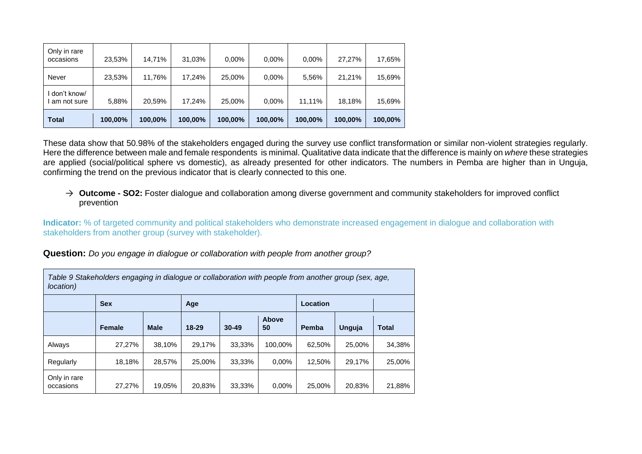| Only in rare<br>occasions  | 23,53%  | 14,71%  | 31,03%  | 0,00%   | $0.00\%$ | 0.00%   | 27.27%  | 17,65%  |
|----------------------------|---------|---------|---------|---------|----------|---------|---------|---------|
| Never                      | 23,53%  | 11,76%  | 17,24%  | 25,00%  | $0.00\%$ | 5,56%   | 21.21%  | 15,69%  |
| don't know/<br>am not sure | 5,88%   | 20,59%  | 17.24%  | 25,00%  | $0.00\%$ | 11.11%  | 18,18%  | 15,69%  |
| <b>Total</b>               | 100,00% | 100,00% | 100,00% | 100,00% | 100,00%  | 100,00% | 100,00% | 100,00% |

These data show that 50.98% of the stakeholders engaged during the survey use conflict transformation or similar non-violent strategies regularly. Here the difference between male and female respondents is minimal. Qualitative data indicate that the difference is mainly on *where* these strategies are applied (social/political sphere vs domestic), as already presented for other indicators. The numbers in Pemba are higher than in Unguja, confirming the trend on the previous indicator that is clearly connected to this one.

→ **Outcome - SO2:** Foster dialogue and collaboration among diverse government and community stakeholders for improved conflict prevention

**Indicator:** % of targeted community and political stakeholders who demonstrate increased engagement in dialogue and collaboration with stakeholders from another group (survey with stakeholder).

**Question:** *Do you engage in dialogue or collaboration with people from another group?*

| Table 9 Stakeholders engaging in dialogue or collaboration with people from another group (sex, age,<br><i>location</i> ) |               |             |           |           |             |          |        |              |  |  |
|---------------------------------------------------------------------------------------------------------------------------|---------------|-------------|-----------|-----------|-------------|----------|--------|--------------|--|--|
|                                                                                                                           | <b>Sex</b>    |             | Age       |           |             | Location |        |              |  |  |
|                                                                                                                           | <b>Female</b> | <b>Male</b> | $18 - 29$ | $30 - 49$ | Above<br>50 | Pemba    | Unguja | <b>Total</b> |  |  |
| Always                                                                                                                    | 27,27%        | 38.10%      | 29,17%    | 33.33%    | 100.00%     | 62.50%   | 25.00% | 34,38%       |  |  |
| Regularly                                                                                                                 | 18,18%        | 28,57%      | 25.00%    | 33,33%    | $0.00\%$    | 12,50%   | 29.17% | 25,00%       |  |  |
| Only in rare<br>occasions                                                                                                 | 27.27%        | 19.05%      | 20.83%    | 33.33%    | $0.00\%$    | 25.00%   | 20,83% | 21,88%       |  |  |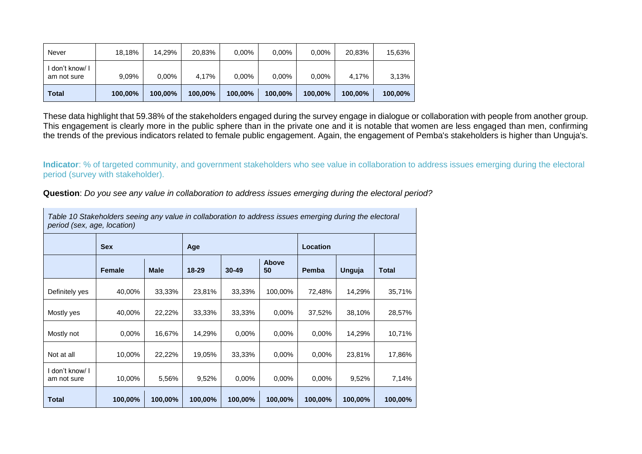| <b>Total</b>                   | 100,00% | 100,00%  | 100,00% | 100,00%  | 100,00%  | 100,00%  | 100,00% | 100,00% |
|--------------------------------|---------|----------|---------|----------|----------|----------|---------|---------|
| I don't know/ I<br>am not sure | 9,09%   | $0,00\%$ | 4,17%   | $0.00\%$ | $0.00\%$ | $0.00\%$ | 4,17%   | 3,13%   |
| Never                          | 18,18%  | 14,29%   | 20,83%  | $0.00\%$ | $0.00\%$ | $0.00\%$ | 20,83%  | 15,63%  |

These data highlight that 59.38% of the stakeholders engaged during the survey engage in dialogue or collaboration with people from another group. This engagement is clearly more in the public sphere than in the private one and it is notable that women are less engaged than men, confirming the trends of the previous indicators related to female public engagement. Again, the engagement of Pemba's stakeholders is higher than Unguja's.

**Indicator**: % of targeted community, and government stakeholders who see value in collaboration to address issues emerging during the electoral period (survey with stakeholder).

**Question**: *Do you see any value in collaboration to address issues emerging during the electoral period?*

|                                | Table 10 Stakeholders seeing any value in collaboration to address issues emerging during the electoral<br>period (sex, age, location) |             |           |           |                    |          |         |              |  |  |  |
|--------------------------------|----------------------------------------------------------------------------------------------------------------------------------------|-------------|-----------|-----------|--------------------|----------|---------|--------------|--|--|--|
|                                | <b>Sex</b>                                                                                                                             |             | Age       |           |                    | Location |         |              |  |  |  |
|                                | <b>Female</b>                                                                                                                          | <b>Male</b> | $18 - 29$ | $30 - 49$ | <b>Above</b><br>50 | Pemba    | Unguja  | <b>Total</b> |  |  |  |
| Definitely yes                 | 40,00%                                                                                                                                 | 33,33%      | 23,81%    | 33,33%    | 100,00%            | 72,48%   | 14,29%  | 35,71%       |  |  |  |
| Mostly yes                     | 40,00%                                                                                                                                 | 22,22%      | 33,33%    | 33,33%    | 0.00%              | 37,52%   | 38,10%  | 28,57%       |  |  |  |
| Mostly not                     | 0.00%                                                                                                                                  | 16,67%      | 14,29%    | 0.00%     | 0.00%              | 0.00%    | 14,29%  | 10,71%       |  |  |  |
| Not at all                     | 10,00%                                                                                                                                 | 22,22%      | 19,05%    | 33,33%    | 0.00%              | 0.00%    | 23,81%  | 17,86%       |  |  |  |
| I don't know/ I<br>am not sure | 10,00%                                                                                                                                 | 5,56%       | 9,52%     | 0.00%     | 0.00%              | 0.00%    | 9,52%   | 7,14%        |  |  |  |
| <b>Total</b>                   | 100,00%                                                                                                                                | 100,00%     | 100,00%   | 100,00%   | 100,00%            | 100,00%  | 100,00% | 100,00%      |  |  |  |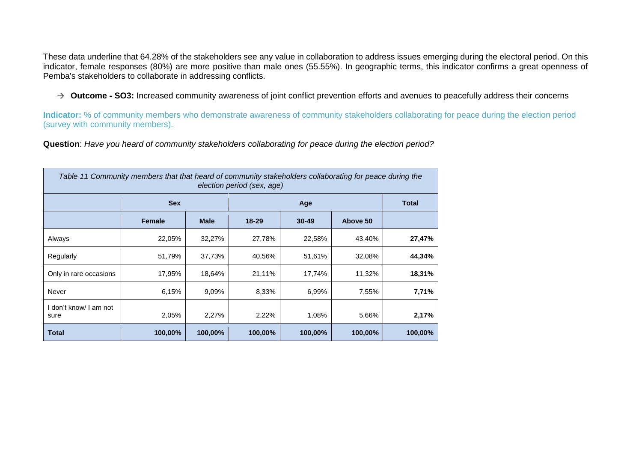These data underline that 64.28% of the stakeholders see any value in collaboration to address issues emerging during the electoral period. On this indicator, female responses (80%) are more positive than male ones (55.55%). In geographic terms, this indicator confirms a great openness of Pemba's stakeholders to collaborate in addressing conflicts.

→ **Outcome - SO3:** Increased community awareness of joint conflict prevention efforts and avenues to peacefully address their concerns

**Indicator:** % of community members who demonstrate awareness of community stakeholders collaborating for peace during the election period (survey with community members).

**Question**: *Have you heard of community stakeholders collaborating for peace during the election period?*

| Table 11 Community members that that heard of community stakeholders collaborating for peace during the<br>election period (sex, age) |               |             |           |           |          |         |  |  |  |
|---------------------------------------------------------------------------------------------------------------------------------------|---------------|-------------|-----------|-----------|----------|---------|--|--|--|
|                                                                                                                                       | <b>Sex</b>    |             |           | Age       |          |         |  |  |  |
|                                                                                                                                       | <b>Female</b> | <b>Male</b> | $18 - 29$ | $30 - 49$ | Above 50 |         |  |  |  |
| Always                                                                                                                                | 22,05%        | 32,27%      | 27,78%    | 22,58%    | 43,40%   | 27,47%  |  |  |  |
| Regularly                                                                                                                             | 51,79%        | 37,73%      | 40,56%    | 51,61%    | 32,08%   | 44,34%  |  |  |  |
| Only in rare occasions                                                                                                                | 17,95%        | 18,64%      | 21,11%    | 17,74%    | 11,32%   | 18,31%  |  |  |  |
| Never                                                                                                                                 | 6,15%         | 9,09%       | 8,33%     | 6,99%     | 7,55%    | 7,71%   |  |  |  |
| don't know/ I am not<br>sure                                                                                                          | 2,05%         | 2,27%       | 2,22%     | 1,08%     | 5,66%    | 2,17%   |  |  |  |
| Total                                                                                                                                 | 100,00%       | 100,00%     | 100,00%   | 100,00%   | 100,00%  | 100,00% |  |  |  |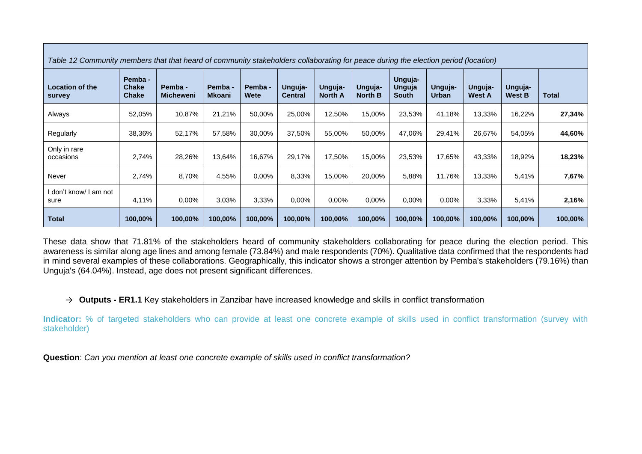| Table 12 Community members that that heard of community stakeholders collaborating for peace during the election period (location) |                                         |                             |                          |                 |                           |                           |                           |                            |                         |                          |                          |         |
|------------------------------------------------------------------------------------------------------------------------------------|-----------------------------------------|-----------------------------|--------------------------|-----------------|---------------------------|---------------------------|---------------------------|----------------------------|-------------------------|--------------------------|--------------------------|---------|
| <b>Location of the</b><br>survey                                                                                                   | Pemba -<br><b>Chake</b><br><b>Chake</b> | Pemba -<br><b>Micheweni</b> | Pemba -<br><b>Mkoani</b> | Pemba -<br>Wete | Unguja-<br><b>Central</b> | Unguja-<br><b>North A</b> | Unguja-<br><b>North B</b> | Unguja-<br>Unguja<br>South | Unguja-<br><b>Urban</b> | Unguja-<br><b>West A</b> | Unguja-<br><b>West B</b> | Total   |
| Always                                                                                                                             | 52,05%                                  | 10,87%                      | 21,21%                   | 50,00%          | 25,00%                    | 12,50%                    | 15,00%                    | 23,53%                     | 41,18%                  | 13,33%                   | 16,22%                   | 27,34%  |
| Regularly                                                                                                                          | 38,36%                                  | 52,17%                      | 57,58%                   | 30,00%          | 37,50%                    | 55,00%                    | 50,00%                    | 47,06%                     | 29,41%                  | 26,67%                   | 54,05%                   | 44,60%  |
| Only in rare<br>occasions                                                                                                          | 2,74%                                   | 28,26%                      | 13,64%                   | 16,67%          | 29,17%                    | 17,50%                    | 15,00%                    | 23,53%                     | 17,65%                  | 43,33%                   | 18,92%                   | 18,23%  |
| Never                                                                                                                              | 2,74%                                   | 8,70%                       | 4,55%                    | $0.00\%$        | 8,33%                     | 15,00%                    | 20,00%                    | 5,88%                      | 11,76%                  | 13,33%                   | 5,41%                    | 7,67%   |
| ∣ don't know/ I am not<br>sure                                                                                                     | 4,11%                                   | $0.00\%$                    | 3,03%                    | 3,33%           | 0.00%                     | 0.00%                     | $0.00\%$                  | 0.00%                      | 0.00%                   | 3,33%                    | 5,41%                    | 2,16%   |
| <b>Total</b>                                                                                                                       | 100,00%                                 | 100,00%                     | 100,00%                  | 100,00%         | 100,00%                   | 100,00%                   | 100,00%                   | 100,00%                    | 100,00%                 | 100,00%                  | 100,00%                  | 100,00% |

These data show that 71.81% of the stakeholders heard of community stakeholders collaborating for peace during the election period. This awareness is similar along age lines and among female (73.84%) and male respondents (70%). Qualitative data confirmed that the respondents had in mind several examples of these collaborations. Geographically, this indicator shows a stronger attention by Pemba's stakeholders (79.16%) than Unguja's (64.04%). Instead, age does not present significant differences.

#### → **Outputs - ER1.1** Key stakeholders in Zanzibar have increased knowledge and skills in conflict transformation

**Indicator:** % of targeted stakeholders who can provide at least one concrete example of skills used in conflict transformation (survey with stakeholder)

**Question**: *Can you mention at least one concrete example of skills used in conflict transformation?*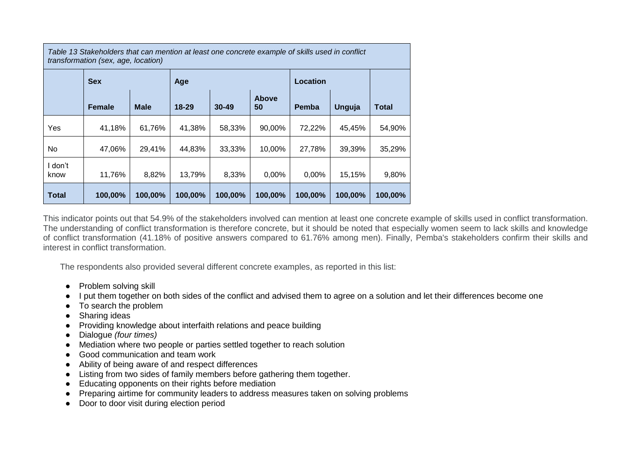*Table 13 Stakeholders that can mention at least one concrete example of skills used in conflict transformation (sex, age, location)*

|                 | <b>Sex</b>    |             | Age       |           |                    | Location     |               |         |
|-----------------|---------------|-------------|-----------|-----------|--------------------|--------------|---------------|---------|
|                 | <b>Female</b> | <b>Male</b> | $18 - 29$ | $30 - 49$ | <b>Above</b><br>50 | <b>Pemba</b> | <b>Unguja</b> | Total   |
| Yes             | 41,18%        | 61,76%      | 41,38%    | 58,33%    | 90,00%             | 72,22%       | 45,45%        | 54,90%  |
| No.             | 47,06%        | 29,41%      | 44,83%    | 33,33%    | 10,00%             | 27,78%       | 39,39%        | 35,29%  |
| I don't<br>know | 11,76%        | 8,82%       | 13,79%    | 8,33%     | 0,00%              | 0,00%        | 15,15%        | 9,80%   |
| <b>Total</b>    | 100,00%       | 100,00%     | 100,00%   | 100,00%   | 100,00%            | 100,00%      | 100,00%       | 100,00% |

This indicator points out that 54.9% of the stakeholders involved can mention at least one concrete example of skills used in conflict transformation. The understanding of conflict transformation is therefore concrete, but it should be noted that especially women seem to lack skills and knowledge of conflict transformation (41.18% of positive answers compared to 61.76% among men). Finally, Pemba's stakeholders confirm their skills and interest in conflict transformation.

The respondents also provided several different concrete examples, as reported in this list:

- Problem solving skill
- I put them together on both sides of the conflict and advised them to agree on a solution and let their differences become one
- To search the problem
- Sharing ideas
- Providing knowledge about interfaith relations and peace building
- Dialogue *(four times)*
- Mediation where two people or parties settled together to reach solution
- Good communication and team work
- Ability of being aware of and respect differences
- Listing from two sides of family members before gathering them together.
- Educating opponents on their rights before mediation
- Preparing airtime for community leaders to address measures taken on solving problems
- Door to door visit during election period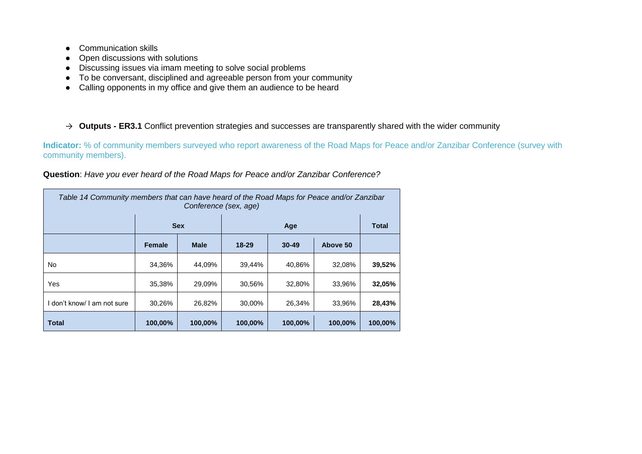- Communication skills
- Open discussions with solutions
- Discussing issues via imam meeting to solve social problems
- To be conversant, disciplined and agreeable person from your community
- Calling opponents in my office and give them an audience to be heard

#### → **Outputs - ER3.1** Conflict prevention strategies and successes are transparently shared with the wider community

**Indicator:** % of community members surveyed who report awareness of the Road Maps for Peace and/or Zanzibar Conference (survey with community members).

| Table 14 Community members that can have heard of the Road Maps for Peace and/or Zanzibar<br>Conference (sex, age) |                                                          |                                                   |         |         |         |         |  |  |  |
|--------------------------------------------------------------------------------------------------------------------|----------------------------------------------------------|---------------------------------------------------|---------|---------|---------|---------|--|--|--|
|                                                                                                                    |                                                          | <b>Sex</b><br><b>Total</b><br>Age                 |         |         |         |         |  |  |  |
|                                                                                                                    | <b>Female</b>                                            | Above 50<br><b>Male</b><br>$18 - 29$<br>$30 - 49$ |         |         |         |         |  |  |  |
| No.                                                                                                                | 34,36%                                                   | 44,09%                                            | 39,44%  | 40.86%  | 32,08%  | 39,52%  |  |  |  |
| Yes                                                                                                                | 35,38%                                                   | 29,09%                                            | 30,56%  | 32,80%  | 33,96%  | 32,05%  |  |  |  |
| I don't know/ I am not sure                                                                                        | 28,43%<br>30,26%<br>26,82%<br>30,00%<br>33,96%<br>26,34% |                                                   |         |         |         |         |  |  |  |
| <b>Total</b>                                                                                                       | 100,00%                                                  | 100,00%                                           | 100,00% | 100,00% | 100,00% | 100,00% |  |  |  |

**Question**: *Have you ever heard of the Road Maps for Peace and/or Zanzibar Conference?*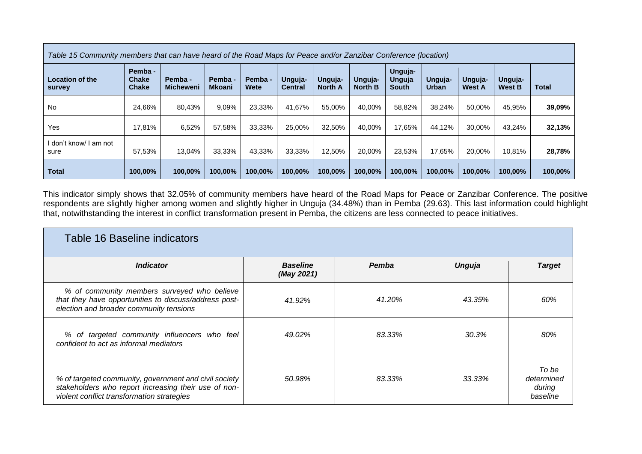| Table 15 Community members that can have heard of the Road Maps for Peace and/or Zanzibar Conference (location) |                                         |                             |                          |                 |                           |                           |                           |                                   |                         |                          |                          |              |
|-----------------------------------------------------------------------------------------------------------------|-----------------------------------------|-----------------------------|--------------------------|-----------------|---------------------------|---------------------------|---------------------------|-----------------------------------|-------------------------|--------------------------|--------------------------|--------------|
| <b>Location of the</b><br>survey                                                                                | Pemba -<br><b>Chake</b><br><b>Chake</b> | Pemba -<br><b>Micheweni</b> | Pemba -<br><b>Mkoani</b> | Pemba -<br>Wete | Unguja-<br><b>Central</b> | Unguja-<br><b>North A</b> | Unguja-<br><b>North B</b> | Unguja-<br>Unguja<br><b>South</b> | Unguja-<br><b>Urban</b> | Unguja-<br><b>West A</b> | Unguja-<br><b>West B</b> | <b>Total</b> |
| No                                                                                                              | 24,66%                                  | 80,43%                      | 9,09%                    | 23,33%          | 41,67%                    | 55,00%                    | 40,00%                    | 58,82%                            | 38,24%                  | 50,00%                   | 45.95%                   | 39,09%       |
| <b>Yes</b>                                                                                                      | 17,81%                                  | 6,52%                       | 57,58%                   | 33,33%          | 25,00%                    | 32,50%                    | 40.00%                    | 17,65%                            | 44.12%                  | 30,00%                   | 43.24%                   | 32,13%       |
| I don't know/ I am not<br>sure                                                                                  | 57,53%                                  | 13,04%                      | 33,33%                   | 43,33%          | 33,33%                    | 12,50%                    | 20,00%                    | 23,53%                            | 17,65%                  | 20,00%                   | 10.81%                   | 28,78%       |
| <b>Total</b>                                                                                                    | 100,00%                                 | 100,00%                     | 100,00%                  | 100,00%         | 100,00%                   | 100,00%                   | 100,00%                   | 100,00%                           | 100,00%                 | 100,00%                  | 100,00%                  | 100,00%      |

This indicator simply shows that 32.05% of community members have heard of the Road Maps for Peace or Zanzibar Conference. The positive respondents are slightly higher among women and slightly higher in Unguja (34.48%) than in Pemba (29.63). This last information could highlight that, notwithstanding the interest in conflict transformation present in Pemba, the citizens are less connected to peace initiatives.

| Table 16 Baseline indicators                                                                                                                                |                               |        |        |                                           |  |  |  |  |
|-------------------------------------------------------------------------------------------------------------------------------------------------------------|-------------------------------|--------|--------|-------------------------------------------|--|--|--|--|
| <i><b>Indicator</b></i>                                                                                                                                     | <b>Baseline</b><br>(May 2021) | Pemba  | Unguja | <b>Target</b>                             |  |  |  |  |
| % of community members surveyed who believe<br>that they have opportunities to discuss/address post-<br>election and broader community tensions             | 41.92%                        | 41.20% | 43.35% | 60%                                       |  |  |  |  |
| % of targeted community influencers who feel<br>confident to act as informal mediators                                                                      | 49.02%                        | 83.33% | 30.3%  | 80%                                       |  |  |  |  |
| % of targeted community, government and civil society<br>stakeholders who report increasing their use of non-<br>violent conflict transformation strategies | 50.98%                        | 83.33% | 33.33% | To be<br>determined<br>during<br>baseline |  |  |  |  |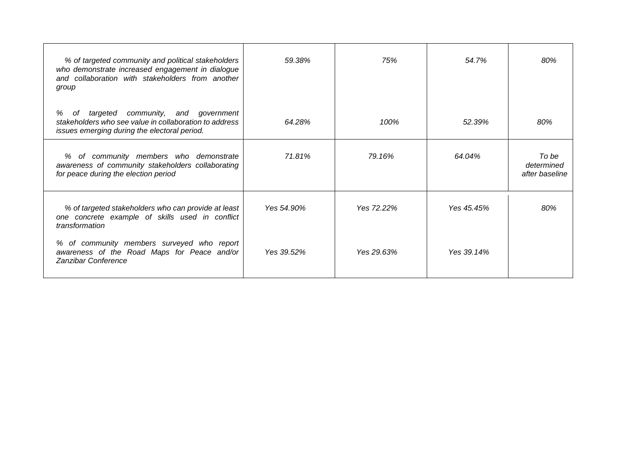| % of targeted community and political stakeholders<br>who demonstrate increased engagement in dialogue<br>and collaboration with stakeholders from another<br>group | 59.38%     | 75%        | 54.7%      | 80%                                   |
|---------------------------------------------------------------------------------------------------------------------------------------------------------------------|------------|------------|------------|---------------------------------------|
| community, and government<br>targeted<br>%<br>of<br>stakeholders who see value in collaboration to address<br>issues emerging during the electoral period.          | 64.28%     | 100%       | 52.39%     | 80%                                   |
| % of community members who demonstrate<br>awareness of community stakeholders collaborating<br>for peace during the election period                                 | 71.81%     | 79.16%     | 64.04%     | To be<br>determined<br>after baseline |
| % of targeted stakeholders who can provide at least<br>one concrete example of skills used in conflict<br>transformation                                            | Yes 54.90% | Yes 72.22% | Yes 45.45% | 80%                                   |
| % of community members surveyed who report<br>awareness of the Road Maps for Peace and/or<br>Zanzibar Conference                                                    | Yes 39.52% | Yes 29.63% | Yes 39.14% |                                       |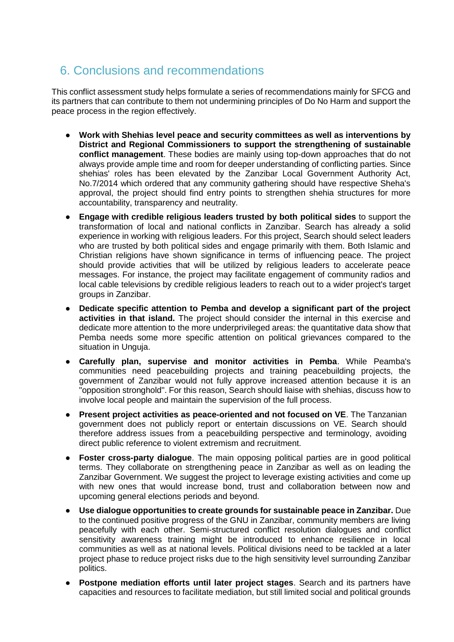#### <span id="page-33-0"></span>6. Conclusions and recommendations

This conflict assessment study helps formulate a series of recommendations mainly for SFCG and its partners that can contribute to them not undermining principles of Do No Harm and support the peace process in the region effectively.

- Work with Shehias level peace and security committees as well as interventions by **District and Regional Commissioners to support the strengthening of sustainable conflict management**. These bodies are mainly using top-down approaches that do not always provide ample time and room for deeper understanding of conflicting parties. Since shehias' roles has been elevated by the Zanzibar Local Government Authority Act, No.7/2014 which ordered that any community gathering should have respective Sheha's approval, the project should find entry points to strengthen shehia structures for more accountability, transparency and neutrality.
- **Engage with credible religious leaders trusted by both political sides** to support the transformation of local and national conflicts in Zanzibar. Search has already a solid experience in working with religious leaders. For this project, Search should select leaders who are trusted by both political sides and engage primarily with them. Both Islamic and Christian religions have shown significance in terms of influencing peace. The project should provide activities that will be utilized by religious leaders to accelerate peace messages. For instance, the project may facilitate engagement of community radios and local cable televisions by credible religious leaders to reach out to a wider project's target groups in Zanzibar.
- **Dedicate specific attention to Pemba and develop a significant part of the project activities in that island.** The project should consider the internal in this exercise and dedicate more attention to the more underprivileged areas: the quantitative data show that Pemba needs some more specific attention on political grievances compared to the situation in Unguja.
- **Carefully plan, supervise and monitor activities in Pemba**. While Peamba's communities need peacebuilding projects and training peacebuilding projects, the government of Zanzibar would not fully approve increased attention because it is an "opposition stronghold". For this reason, Search should liaise with shehias, discuss how to involve local people and maintain the supervision of the full process.
- **Present project activities as peace-oriented and not focused on VE**. The Tanzanian government does not publicly report or entertain discussions on VE. Search should therefore address issues from a peacebuilding perspective and terminology, avoiding direct public reference to violent extremism and recruitment.
- **Foster cross-party dialogue**. The main opposing political parties are in good political terms. They collaborate on strengthening peace in Zanzibar as well as on leading the Zanzibar Government. We suggest the project to leverage existing activities and come up with new ones that would increase bond, trust and collaboration between now and upcoming general elections periods and beyond.
- **Use dialogue opportunities to create grounds for sustainable peace in Zanzibar.** Due to the continued positive progress of the GNU in Zanzibar, community members are living peacefully with each other. Semi-structured conflict resolution dialogues and conflict sensitivity awareness training might be introduced to enhance resilience in local communities as well as at national levels. Political divisions need to be tackled at a later project phase to reduce project risks due to the high sensitivity level surrounding Zanzibar politics.
- **Postpone mediation efforts until later project stages**. Search and its partners have capacities and resources to facilitate mediation, but still limited social and political grounds